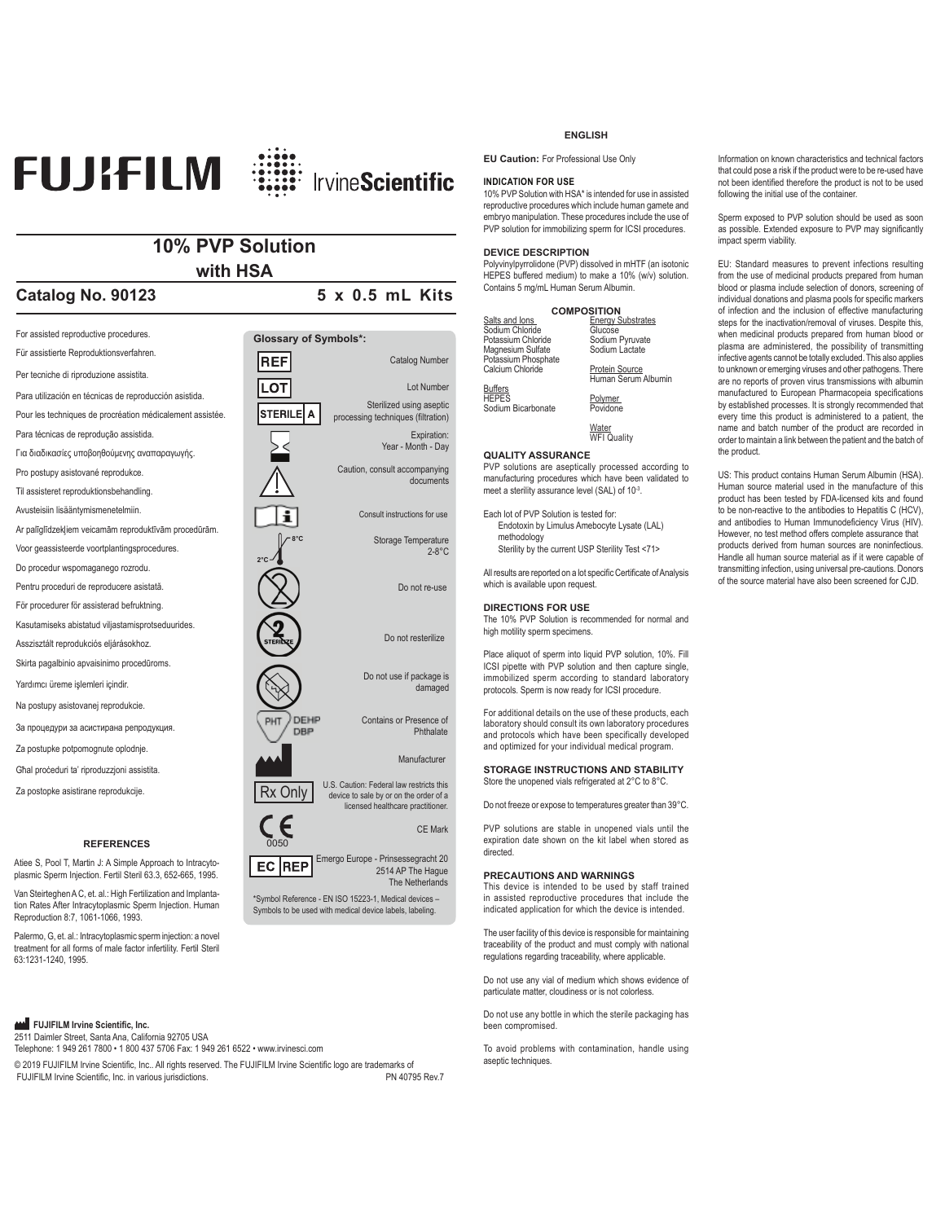

# **10% PVP Solution with HSA**

# **Catalog No. 90123** 5 x 0.5 mL Kits

For assisted reproductive procedures. **Glossary of Symbols\*:** Für assistierte Reproduktionsverfahren. **REF** Catalog Number Per tecniche di riproduzione assistita. **LOT** Lot Number Para utilización en técnicas de reproducción asistida. Sterilized using aseptic **STERILE** A Pour les techniques de procréation médicalement assistée processing techniques (filtration) Para técnicas de reprodução assistida. Expiration: Year - Month - Day Για διαδικασίες υποβοηθούμενης αναπαραγωγής. Caution, consult accompanying Pro postupy asistované reprodukce. documents Til assisteret reproduktionsbehandling. Avusteisiin lisääntymismenetelmiin. Consult instructions for useAr palīglīdzekļiem veicamām reproduktīvām procedūrām. **8°C** Storage Temperature Voor geassisteerde voortplantingsprocedures. 2-8°C **2°C** Do procedur wspomaganego rozrodu. Pentru proceduri de reproducere asistată. Do not re-use För procedurer för assisterad befruktning. Kasutamiseks abistatud viljastamisprotseduurides. Do not resterilize Asszisztált reprodukciós eljárásokhoz. Skirta pagalbinio apvaisinimo procedūroms. Do not use if package is Yardımcı üreme işlemleri içindir. damaged Na postupy asistovanej reprodukcie. DEHP Contains or Presence of За процедури за асистирана репродукция **DBP** Phthalate Za postupke potpomognute oplodnje. Manufacturer Għal proceduri ta' riproduzzjoni assistita. Rx Only U.S. Caution: Federal law restricts this<br>
device to sale by or on the order of a Za postopke asistirane reprodukcije. licensed healthcare practitioner. CE Mark **REFERENCES** 0050 Atiee S, Pool T, Martin J: A Simple Approach to Intracyto-Emergo Europe - Prinsessegracht 20 2514 AP The Hague  $EC$  REP plasmic Sperm Injection. Fertil Steril 63.3, 652-665, 1995.

Van Steirteghen A C, et. al.: High Fertilization and Implantation Rates After Intracytoplasmic Sperm Injection. Human Reproduction 8:7, 1061-1066, 1993.

Palermo, G, et. al.: Intracytoplasmic sperm injection: a novel treatment for all forms of male factor infertility. Fertil Steril 63:1231-1240, 1995.

# **AM** FUJIFILM Irvine Scientific, Inc.

2511 Daimler Street, Santa Ana, California 92705 USA Telephone: 1 949 261 7800 • 1 800 437 5706 Fax: 1 949 261 6522 • www.irvinesci.com

 $© 2019$  FUJIFILM Irvine Scientific, Inc., All rights reserved. The FUJIFILM Irvine Scientific logo are trademarks of FUJIFILM Irvine Scientific, Inc. in various jurisdictions. The contraction of the PN 40795 Rev.7

# **ENGLISH**

**EU Caution:** For Professional Use Only

## **INDICATION FOR USE**

10% PVP Solution with HSA\* is intended for use in assisted reproductive procedures which include human gamete and embryo manipulation. These procedures include the use of PVP solution for immobilizing sperm for ICSI procedures.

# **DEVICE DESCRIPTION**

Polyvinylpyrrolidone (PVP) dissolved in mHTF (an isotonic HEPES buffered medium) to make a 10% (w/v) solution. Contains 5 mg/mL Human Serum Albumin.

|                     | <b>COMPOSITION</b>       |
|---------------------|--------------------------|
| Salts and lons      | <b>Energy Substrates</b> |
| Sodium Chloride     | Glucose                  |
| Potassium Chloride  | Sodium Pyruvate          |
| Magnesium Sulfate   | Sodium Lactate           |
| Potassium Phosphate |                          |
| Calcium Chloride    | <b>Protein Source</b>    |
|                     | Human Serum Albumin      |
| Buffers             |                          |
| <b>HEPES</b>        | Polymer                  |
| Sodium Bicarbonate  | Povidone                 |
|                     | Water                    |
|                     | <b>WFI Quality</b>       |
|                     |                          |

**QUALITY ASSURANCE**

PVP solutions are aseptically processed according to manufacturing procedures which have been validated to meet a sterility assurance level (SAL) of 10<sup>-3</sup>.

Each lot of PVP Solution is tested for: Endotoxin by Limulus Amebocyte Lysate (LAL) methodology Sterility by the current USP Sterility Test <71>

All results are reported on a lot specific Certificate of Analysis which is available upon request.

# **DIRECTIONS FOR USE**

The 10% PVP Solution is recommended for normal and high motility sperm specimens.

Place aliquot of sperm into liquid PVP solution, 10%. Fill ICSI pipette with PVP solution and then capture single, immobilized sperm according to standard laboratory protocols. Sperm is now ready for ICSI procedure.

For additional details on the use of these products, each laboratory should consult its own laboratory procedures and protocols which have been specifically developed and optimized for your individual medical program.

**STORAGE INSTRUCTIONS AND STABILITY** Store the unopened vials refrigerated at 2°C to 8°C.

Do not freeze or expose to temperatures greater than 39°C.

PVP solutions are stable in unopened vials until the expiration date shown on the kit label when stored as directed.

# **PRECAUTIONS AND WARNINGS**

The Netherlands

\*Symbol Reference - EN ISO 15223-1, Medical devices – Symbols to be used with medical device labels, labeling.

This device is intended to be used by staff trained in assisted reproductive procedures that include the indicated application for which the device is intended.

The user facility of this device is responsible for maintaining traceability of the product and must comply with national regulations regarding traceability, where applicable.

Do not use any vial of medium which shows evidence of particulate matter, cloudiness or is not colorless.

Do not use any bottle in which the sterile packaging has been compromised.

To avoid problems with contamination, handle using aseptic techniques.

Information on known characteristics and technical factors that could pose a risk if the product were to be re-used have not been identified therefore the product is not to be used following the initial use of the container

Sperm exposed to PVP solution should be used as soon as possible. Extended exposure to PVP may significantly impact sperm viability.

EU: Standard measures to prevent infections resulting from the use of medicinal products prepared from human blood or plasma include selection of donors, screening of individual donations and plasma pools for specific markers of infection and the inclusion of effective manufacturing steps for the inactivation/removal of viruses. Despite this, when medicinal products prepared from human blood or plasma are administered, the possibility of transmitting infective agents cannot be totally excluded. This also applies to unknown or emerging viruses and other pathogens. There are no reports of proven virus transmissions with albumin manufactured to European Pharmacopeia specifications by established processes. It is strongly recommended that every time this product is administered to a patient, the name and batch number of the product are recorded in order to maintain a link between the patient and the batch of the product.

US: This product contains Human Serum Albumin (HSA). Human source material used in the manufacture of this product has been tested by FDA-licensed kits and found to be non-reactive to the antibodies to Hepatitis C (HCV), and antibodies to Human Immunodeficiency Virus (HIV). However, no test method offers complete assurance that products derived from human sources are noninfectious. Handle all human source material as if it were capable of transmitting infection, using universal pre-cautions. Donors of the source material have also been screened for CJD.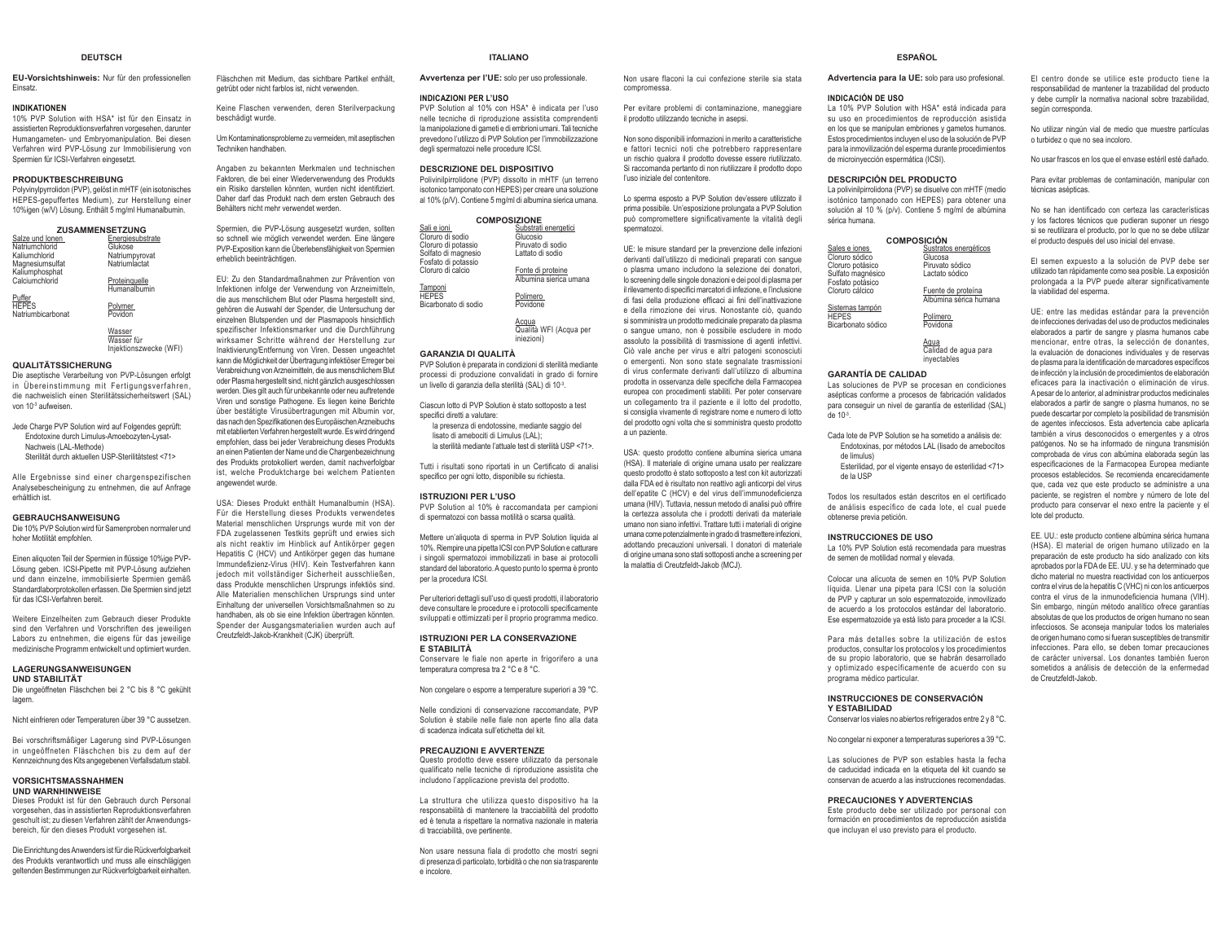### **DEUTSCH**

**EU-Vorsichtshinweis:** Nur für den professionellen Einsatz.

### **INDIKATIONEN**

 10% PVP Solution with HSA\* ist für den Einsatz in assistierten Reproduktionsverfahren vorgesehen, darunter Humangameten- und Embryomanipulation. Bei diesen Verfahren wird PVP-Lösung zur Immobilisierung von Spermien für ICSI-Verfahren eingesetzt.

### **PRODUKTBESCHREIBUNG**

 Polyvinylpyrrolidon (PVP), gelöst in mHTF (ein isotonisches HEPES-gepuffertes Medium), zur Herstellung einer 10%igen (w/V) Lösung. Enthält 5 mg/ml Humanalbumin.

| ZUSAMMENSETZUNG   |                  |  |
|-------------------|------------------|--|
| Salze und Ionen   | Energiesubstrate |  |
| Natriumchlorid    | Glukose          |  |
| Kaliumchlorid     | Natriumpyrovat   |  |
| Magnesiumsulfat   | Natriumlactat    |  |
| Kaliumphosphat    |                  |  |
| Calciumchlorid    | Proteinguelle    |  |
|                   | Humanalbumin     |  |
| Puffer            |                  |  |
| <b>HEPES</b>      | Polymer          |  |
| Natriumbicarbonat | Povidon          |  |

## <u>Wasser</u><br>Wasser für Injektionszwecke (WFI)

### **QUALITÄTSSICHERUNG**

 Die aseptische Verarbeitung von PVP-Lösungen erfolgt in Übereinstimmung mit Fertigungsverfahren, die nachweislich einen Sterilitätssicherheitswert (SAL) von 10-3 aufweisen.

Jede Charge PVP Solution wird auf Folgendes geprüft: Endotoxine durch Limulus-Amoebozyten-Lysat-Nachweis (LAL-Methode) Sterilität durch aktuellen USP-Sterilitätstest <71>

Alle Ergebnisse sind einer chargenspezifischen Analysebescheinigung zu entnehmen, die auf Anfrage erhältlich ist.

### **GEBRAUCHSANWEISUNG**

 Die 10% PVP Solution wird für Samenproben normaler und hoher Motilität empfohlen.

Einen aliguoten Teil der Spermien in flüssige 10%ige PVP-Lösung geben. ICSI-Pipette mit PVP-Lösung aufziehen und dann einzelne, immobilisierte Spermien gemäß Standardlaborprotokollen erfassen. Die Spermien sind jetzt für das ICSI-Verfahren bereit.

Weitere Einzelheiten zum Gebrauch dieser Produkte sind den Verfahren und Vorschriften des jeweiligen Labors zu entnehmen, die eigens für das jeweilige medizinische Programm entwickelt und optimiert wurden.

### **LAGERUNGSANWEISUNGEN**

**UND STABILITÄT** Die ungeöffneten Fläschchen bei 2 °C bis 8 °C gekühlt lagern

Nicht einfrieren oder Temperaturen über 39 °C aussetzen.

Bei vorschriftsmäßiger Lagerung sind PVP-Lösungen in ungeöffneten Fläschchen bis zu dem auf der Kennzeichnung des Kits angegebenen Verfallsdatum stabil.

### **VORSICHTSMASSNAHMEN UND WARNHINWEISE**

 Dieses Produkt ist für den Gebrauch durch Personal vorgesehen, das in assistierten Reproduktionsverfahren geschult ist; zu diesen Verfahren zählt der Anwendungsbereich, für den dieses Produkt vorgesehen ist.

Die Einrichtung des Anwenders ist für die Rückverfolgbarkeit des Produkts verantwortlich und muss alle einschlägigen geltenden Bestimmungen zur Rückverfolgbarkeit einhalten.

Fläschchen mit Medium, das sichtbare Partikel enthält, getrübt oder nicht farblos ist, nicht verwenden.

Keine Flaschen verwenden, deren Sterilverpackung beschädigt wurde.

Um Kontaminationsprobleme zu vermeiden, mit aseptischen Techniken handhaben.

Angaben zu bekannten Merkmalen und technischen Faktoren, die bei einer Wiederverwendung des Produkts ein Risiko darstellen könnten, wurden nicht identifiziert. Daher darf das Produkt nach dem ersten Gebrauch des Behälters nicht mehr verwendet werden.

Spermien, die PVP-Lösung ausgesetzt wurden, sollten so schnell wie möglich verwendet werden. Eine längere PVP-Exposition kann die Überlebensfähigkeit von Spermien erheblich beeinträchtigen.

EU: Zu den Standardmaßnahmen zur Prävention von

 Infektionen infolge der Verwendung von Arzneimitteln, die aus menschlichem Blut oder Plasma hergestellt sind, gehören die Auswahl der Spender, die Untersuchung der einzelnen Blutspenden und der Plasmapools hinsichtlich spezifischer Infektionsmarker und die Durchführung wirksamer Schritte während der Herstellung zur Inaktivierung/Entfernung von Viren. Dessen ungeachtet kann die Möglichkeit der Übertragung infektiöser Erreger bei Verabreichung von Arzneimitteln, die aus menschlichem Blut oder Plasma hergestellt sind, nicht gänzlich ausgeschlossen werden. Dies gilt auch für unbekannte oder neu auftretende Viren und sonstige Pathogene. Es liegen keine Berichte über bestätigte Virusübertragungen mit Albumin vor, das nach den Spezifikationen des Europäischen Arzneibuchs mit etablierten Verfahren hergestellt wurde. Es wird dringend empfohlen, dass bei jeder Verabreichung dieses Produkts an einen Patienten der Name und die Chargenbezeichnung des Produkts protokolliert werden, damit nachverfolgbar ist, welche Produktcharge bei welchem Patienten angewendet wurde.

USA: Dieses Produkt enthält Humanalbumin (HSA). Für die Herstellung dieses Produkts verwendetes Material menschlichen Ursprungs wurde mit von der FDA zugelassenen Testkits geprüft und erwies sich als nicht reaktiv im Hinblick auf Antikörper gegen Hepatitis C (HCV) und Antikörper gegen das humane Immundefizienz-Virus (HIV). Kein Testverfahren kann jedoch mit vollständiger Sicherheit ausschließen, dass Produkte menschlichen Ursprungs infektiös sind. Alle Materialien menschlichen Ursprungs sind unter Einhaltung der universellen Vorsichtsmaßnahmen so zu handhaben, als ob sie eine Infektion übertragen könnten. Spender der Ausgangsmaterialien wurden auch auf Creutzfeldt-Jakob-Krankheit (CJK) überprüft.

la manipolazione di gameti e di embrioni umani. Tali tecniche

 PVP Solution al 10% con HSA\* è indicata per l'uso nelle tecniche di riproduzione assistita comprendenti

prevedono l'utilizzo di PVP Solution per l'immobilizzazione degli spermatozoi nelle procedure ICSI.

**DESCRIZIONE DEL DISPOSITIVO**

**INDICAZIONI PER L'USO**

 Polivinilpirrolidone (PVP) dissolto in mHTF (un terreno isotonico tamponato con HEPES) per creare una soluzione al 10% (p/V). Contiene 5 mg/ml di albumina sierica umana.

**ITALIANOAvvertenza per l'UE:** solo per uso professionale.

### **COMPOSIZIONE**

| Sali e ioni          | Substrati energetici   |
|----------------------|------------------------|
| Cloruro di sodio     | Glucosio               |
| Cloruro di potassio  | Piruvato di sodio      |
| Solfato di magnesio  | Lattato di sodio       |
| Fosfato di potassio  |                        |
| Cloruro di calcio    | Fonte di proteine      |
|                      | Albumina sierica umana |
| Tamponi              |                        |
| <b>HEPES</b>         | Polimero               |
| Bicarbonato di sodio | Povidone               |
|                      |                        |
|                      | Acaua                  |
|                      | Qualità WFI (Acqua per |
|                      | iniezioni)             |

### **GARANZIA DI QUALITÀ**

 PVP Solution è preparata in condizioni di sterilità mediante processi di produzione convalidati in grado di fornire un livello di garanzia della sterilità (SAL) di 10-3.

Ciascun lotto di PVP Solution è stato sottoposto a test shecifici diretti a valutare:

la presenza di endotossine, mediante saggio del lisato di amebociti di Limulus (LAL);

la sterilità mediante l'attuale test di sterilità USP <71>.

Tutti i risultati sono riportati in un Certificato di analisi specifico per ogni lotto, disponibile su richiesta.

### **ISTRUZIONI PER L'USO**

 PVP Solution al 10% è raccomandata per campioni di spermatozoi con bassa motilità o scarsa qualità.

Mettere un'aliquota di sperma in PVP Solution liquida al 10%. Riempire una pipetta ICSI con PVP Solution e catturare i singoli spermatozoi immobilizzati in base ai protocolli standard del laboratorio. A questo punto lo sperma è pronto per la procedura ICSI.

Per ulteriori dettagli sull'uso di questi prodotti, il laboratorio deve consultare le procedure e i protocolli specificamente sviluppati e ottimizzati per il proprio programma medico.

### **ISTRUZIONI PER LA CONSERVAZIONE E STABILITÀ**

 Conservare le fiale non aperte in frigorifero a una temperatura compresa tra 2 °C e 8 °C.

Non congelare o esporre a temperature superiori a 39 °C.

Nelle condizioni di conservazione raccomandate, PVP Solution è stabile nelle fiale non aperte fino alla data di scadenza indicata sull'etichetta del kit.

### **PRECAUZIONI E AVVERTENZE**

 Questo prodotto deve essere utilizzato da personale qualificato nelle tecniche di riproduzione assistita che includono l'applicazione prevista del prodotto.

La struttura che utilizza questo dispositivo ha la responsabilità di mantenere la tracciabilità del prodotto ed è tenuta a rispettare la normativa nazionale in materia di tracciabilità, ove pertinente.

Non usare nessuna fiala di prodotto che mostri segni di presenza di particolato, torbidità o che non sia trasparente e incolore.

### **ESPAÑOL**

**Advertencia para la UE:** solo para uso profesional.

### **INDICACIÓN DE USO**

Non usare flaconi la cui confezione sterile sia stata

Per evitare problemi di contaminazione, maneggiare il prodotto utilizzando tecniche in asepsi.

Non sono disponibili informazioni in merito a caratteristiche e fattori tecnici noti che potrebbero rappresentare un rischio qualora il prodotto dovesse essere riutilizzato. Si raccomanda pertanto di non riutilizzare il prodotto dopo

Lo sperma esposto a PVP Solution dev'essere utilizzato il prima possibile. Un'esposizione prolungata a PVP Solution può compromettere significativamente la vitalità degli

UE: le misure standard per la prevenzione delle infezioni derivanti dall'utilizzo di medicinali preparati con sangue o plasma umano includono la selezione dei donatori, lo screening delle singole donazioni e dei pool di plasma per il rilevamento di specifici marcatori di infezione, e l'inclusione di fasi della produzione efficaci ai fini dell'inattivazione e della rimozione dei virus. Nonostante ciò, quando si somministra un prodotto medicinale preparato da plasma o sangue umano, non è possibile escludere in modo assoluto la possibilità di trasmissione di agenti infettivi. Ciò vale anche per virus e altri patogeni sconosciuti o emergenti. Non sono state segnalate trasmissioni di virus confermate derivanti dall'utilizzo di albumina prodotta in osservanza delle specifiche della Farmacopea europea con procedimenti stabiliti. Per poter conservare un collegamento tra il paziente e il lotto del prodotto, si consiglia vivamente di registrare nome e numero di lotto del prodotto ogni volta che si somministra questo prodotto

USA: questo prodotto contiene albumina sierica umana (HSA). Il materiale di origine umana usato per realizzare questo prodotto è stato sottoposto a test con kit autorizzati dalla FDA ed è risultato non reattivo agli anticorpi del virus dell'epatite C (HCV) e del virus dell'immunodeficienza umana (HIV). Tuttavia, nessun metodo di analisi può offrire la certezza assoluta che i prodotti derivati da materiale umano non siano infettivi. Trattare tutti i materiali di origine umana come potenzialmente in grado di trasmettere infezioni, adottando precauzioni universali. I donatori di materiale di origine umana sono stati sottoposti anche a screening per

la malattia di Creutzfeldt-Jakob (MCJ).

compromessa.

spermatozoi.

a un paziente.

l'uso iniziale del contenitore.

La 10% PVP Solution with HSA\* está indicada para su uso en procedimientos de reproducción asistida en los que se manipulan embriones y gametos humanos. Estos procedimientos incluyen el uso de la solución de PVP para la inmovilización del esperma durante procedimientos de microinyección espermática (ICSI).

### **DESCRIPCIÓN DEL PRODUCTO**

 La polivinilpirrolidona (PVP) se disuelve con mHTF (medio isotónico tamponado con HEPES) para obtener una solución al 10 % (p/v). Contiene 5 mg/ml de albúmina sérica humana.

| <b>COMPOSICIÓN</b> |                       |  |
|--------------------|-----------------------|--|
| Sales e iones      | Sustratos energéticos |  |
| Cloruro sódico     | Glucosa               |  |
| Cloruro potásico   | Piruvato sódico       |  |
| Sulfato magnésico  | Lactato sódico        |  |
| Fosfato potásico   |                       |  |
| Clonim cálcico     | Fuente de proteína    |  |

Fuente de proteína Albúmina sérica humana

**HEPES**  Bicarbonato sódico<u>Polímero</u><br>Povidona

Sistemas tampón

<u>Agua</u><br>Calidad de agua para inyectables

### **GARANTÍA DE CALIDAD**

 Las soluciones de PVP se procesan en condiciones asépticas conforme a procesos de fabricación validados para conseguir un nivel de garantía de esterilidad (SAL) de  $10<sup>-3</sup>$ 

- Cada lote de PVP Solution se ha sometido a análisis de:Endotoxinas, por métodos LAL (lisado de amebocitos de limulus)
	- Esterilidad, por el vigente ensayo de esterilidad <71> de la USP
		-

Todos los resultados están descritos en el certificado de análisis específico de cada lote, el cual puede obtenerse previa petición.

### **INSTRUCCIONES DE USO**

 La 10% PVP Solution está recomendada para muestras de semen de motilidad normal y elevada.

Colocar una alícuota de semen en 10% PVP Solution líquida. Llenar una pipeta para ICSI con la solución de PVP y capturar un solo espermatozoide, inmovilizado de acuerdo a los protocolos estándar del laboratorio. Ese espermatozoide ya está listo para proceder a la ICSI.

Para más detalles sobre la utilización de estos productos, consultar los protocolos y los procedimientos de su propio laboratorio, que se habrán desarrollado y optimizado específicamente de acuerdo con su programa médico particular.

### **INSTRUCCIONES DE CONSERVACIÓN Y ESTABILIDAD**

Conservar los viales no abiertos refrigerados entre 2 y 8 °C.

No congelar ni exponer a temperaturas superiores a 39 °C.

Las soluciones de PVP son estables hasta la fecha de caducidad indicada en la etiqueta del kit cuando se conservan de acuerdo a las instrucciones recomendadas.

### **PRECAUCIONES Y ADVERTENCIAS**

 Este producto debe ser utilizado por personal con formación en procedimientos de reproducción asistida que incluyan el uso previsto para el producto.

El centro donde se utilice este producto tiene la responsabilidad de mantener la trazabilidad del producto y debe cumplir la normativa nacional sobre trazabilidad, según corresponda

No utilizar ningún vial de medio que muestre partículas o turbidez o que no sea incoloro.

No usar frascos en los que el envase estéril esté dañado.

Para evitar problemas de contaminación, manipular con técnicas asépticas.

No se han identificado con certeza las características y los factores técnicos que pudieran suponer un riesgo si se reutilizara el producto, por lo que no se debe utilizar el producto después del uso inicial del envase.

El semen expuesto a la solución de PVP debe ser utilizado tan rápidamente como sea posible. La exposición prolongada a la PVP puede alterar significativamente la viabilidad del esperma.

UE: entre las medidas estándar para la prevención de infecciones derivadas del uso de productos medicinales elaborados a partir de sangre y plasma humanos cabe mencionar, entre otras, la selección de donantes, la evaluación de donaciones individuales y de reservas de plasma para la identificación de marcadores específicos de infección y la inclusión de procedimientos de elaboración eficaces para la inactivación o eliminación de virus. A pesar de lo anterior, al administrar productos medicinales elaborados a partir de sangre o plasma humanos, no se puede descartar por completo la posibilidad de transmisión de agentes infecciosos. Esta advertencia cabe aplicarla también a virus desconocidos o emergentes y a otros patógenos. No se ha informado de ninguna transmisión comprobada de virus con albúmina elaborada según las especificaciones de la Farmacopea Europea mediante procesos establecidos. Se recomienda encarecidamente que, cada vez que este producto se administre a una paciente, se registren el nombre y número de lote del producto para conservar el nexo entre la paciente y el lote del producto.

EE. UU.: este producto contiene albúmina sérica humana (HSA). El material de origen humano utilizado en la preparación de este producto ha sido analizado con kits aprobados por la FDA de EE. UU. y se ha determinado que dicho material no muestra reactividad con los anticuerpos contra el virus de la hepatitis C (VHC) ni con los anticuerpos Frantra el virus de la inmunodeficiencia humana (VIH) Sin embargo, ningún método analítico ofrece garantías absolutas de que los productos de origen humano no sean infecciosos. Se aconseja manipular todos los materiales de origen humano como si fueran susceptibles de transmitir infecciones. Para ello, se deben tomar precauciones de carácter universal. Los donantes también fueron sometidos a análisis de detección de la enfermedad de Creutzfeldt-Jakob.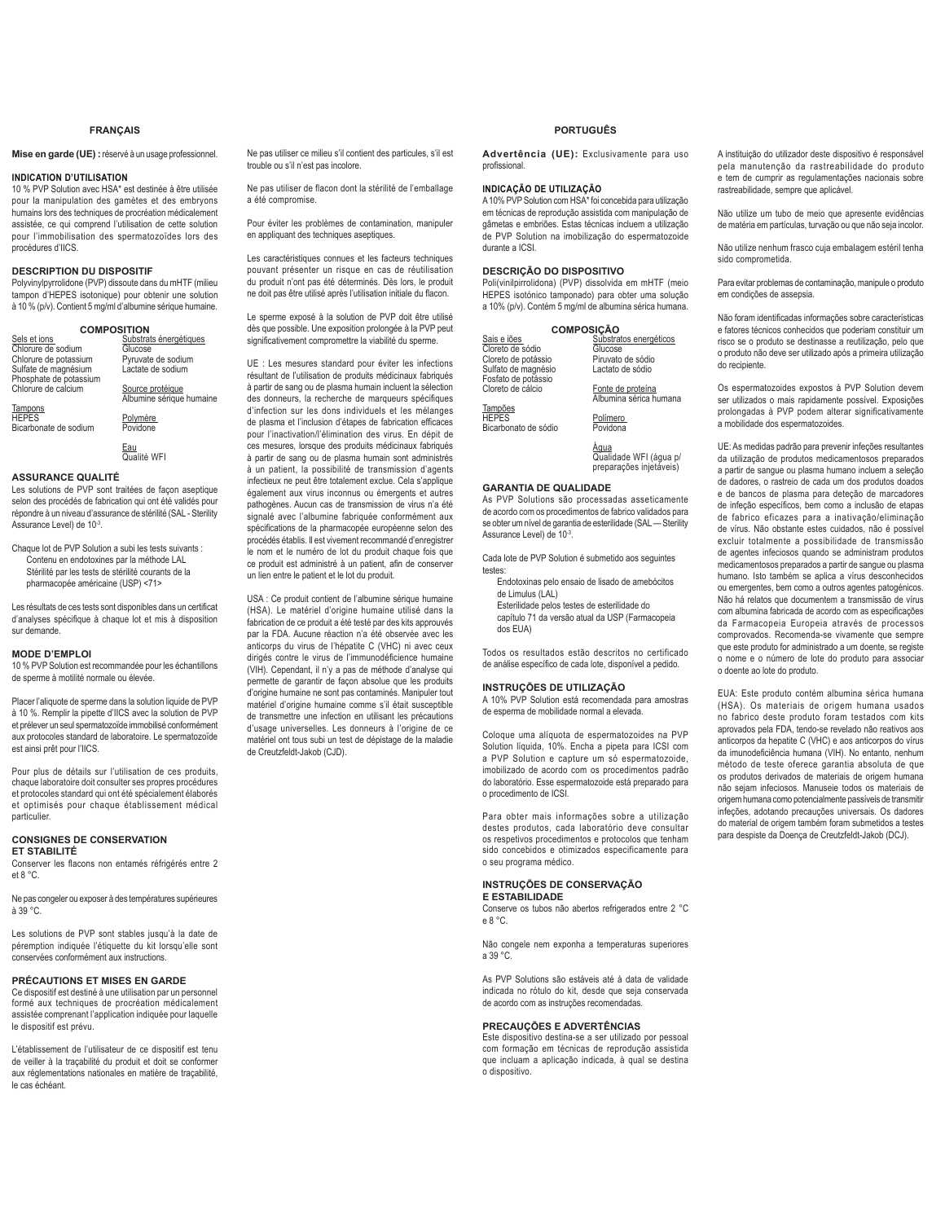# **FRANÇAIS**

**Mise en garde (UE) :**réservé à un usage professionnel.

# **INDICATION D'UTILISATION**

10 % PVP Solution avec HSA\* est destinée à être utilisée pour la manipulation des gamètes et des embryons humains lors des techniques de procréation médicalement assistée, ce qui comprend l'utilisation de cette solution pour l'immobilisation des spermatozoïdes lors des procédures d'IICS.

## **DESCRIPTION DU DISPOSITIF**

Polyvinylpyrrolidone (PVP) dissoute dans du mHTF (milieu tampon d'HEPES isotonique) pour obtenir une solution à 10 % (p/v). Contient 5 mg/ml d'albumine sérique humaine.

| <b>COMPOSITION</b>                             |                                              |  |  |
|------------------------------------------------|----------------------------------------------|--|--|
| Sels et ions                                   | Substrats énergétiques                       |  |  |
| Chlorure de sodium                             | Glucose                                      |  |  |
| Chlorure de potassium                          | Pyruvate de sodium                           |  |  |
| Sulfate de magnésium<br>Phosphate de potassium | Lactate de sodium                            |  |  |
| Chlorure de calcium                            | Source protéique<br>Albumine sérique humaine |  |  |

Tampons HEPES Bicarbonate de sodium Polymère<br>Povidone

<u>Eau</u><br>Qualité WFI

# **ASSURANCE QUALITÉ**

Les solutions de PVP sont traitées de façon aseptique selon des procédés de fabrication qui ont été validés pour répondre à un niveau d'assurance de stérilité (SAL - Sterility Assurance Level) de 10-3.

Chaque lot de PVP Solution a subi les tests suivants : Contenu en endotoxines par la méthode LAL Stérilité par les tests de stérilité courants de la pharmacopée américaine (USP) <71>

Les résultats de ces tests sont disponibles dans un certificat d'analyses spécifique à chaque lot et mis à disposition sur demande.

## **MODE D'EMPLOI**

10 % PVP Solution est recommandée pour les échantillons de sperme à motilité normale ou élevée.

Placer l'aliquote de sperme dans la solution liquide de PVP à 10 %. Remplir la pipette d'IICS avec la solution de PVP et prélever un seul spermatozoïde immobilisé conformément aux protocoles standard de laboratoire. Le spermatozoïde est ainsi prêt pour l'IICS.

Pour plus de détails sur l'utilisation de ces produits, chaque laboratoire doit consulter ses propres procédures et protocoles standard qui ont été spécialement élaborés et optimisés pour chaque établissement médical particulier.

# **CONSIGNES DE CONSERVATION**

**ET STABILITÉ**

Conserver les flacons non entamés réfrigérés entre 2 et 8 °C.

Ne pas congeler ou exposer à des températures supérieures à 39 °C.

Les solutions de PVP sont stables jusqu'à la date de péremption indiquée l'étiquette du kit lorsqu'elle sont conservées conformément aux instructions.

## **PRÉCAUTIONS ET MISES EN GARDE**

Ce dispositif est destiné à une utilisation par un personnel formé aux techniques de procréation médicalement assistée comprenant l'application indiquée pour laquelle le dispositif est prévu.

L'établissement de l'utilisateur de ce dispositif est tenu de veiller à la traçabilité du produit et doit se conformer aux réglementations nationales en matière de traçabilité, le cas échéant.

Ne pas utiliser ce milieu s'il contient des particules, s'il est trouble ou s'il n'est pas incolore.

Ne pas utiliser de flacon dont la stérilité de l'emballage a été compromise.

Pour éviter les problèmes de contamination, manipuler en appliquant des techniques aseptiques.

Les caractéristiques connues et les facteurs techniques pouvant présenter un risque en cas de réutilisation du produit n'ont pas été déterminés. Dès lors, le produit ne doit pas être utilisé après l'utilisation initiale du flacon.

Le sperme exposé à la solution de PVP doit être utilisé dès que possible. Une exposition prolongée à la PVP peut significativement compromettre la viabilité du sperme

UE : Les mesures standard pour éviter les infections résultant de l'utilisation de produits médicinaux fabriqués à partir de sang ou de plasma humain incluent la sélection des donneurs, la recherche de marqueurs spécifiques d'infection sur les dons individuels et les mélanges de plasma et l'inclusion d'étapes de fabrication efficaces pour l'inactivation/l'élimination des virus. En dépit de ces mesures, lorsque des produits médicinaux fabriqués à partir de sang ou de plasma humain sont administrés à un patient, la possibilité de transmission d'agents infectieux ne peut être totalement exclue. Cela s'applique également aux virus inconnus ou émergents et autres pathogènes. Aucun cas de transmission de virus n'a été signalé avec l'albumine fabriquée conformément aux spécifications de la pharmacopée européenne selon des procédés établis. Il est vivement recommandé d'enregistrer le nom et le numéro de lot du produit chaque fois que ce produit est administré à un patient, afin de conserver un lien entre le patient et le lot du produit.

USA : Ce produit contient de l'albumine sérique humaine (HSA). Le matériel d'origine humaine utilisé dans la fabrication de ce produit a été testé par des kits approuvés par la FDA. Aucune réaction n'a été observée avec les anticorps du virus de l'hépatite C (VHC) ni avec ceux dirigés contre le virus de l'immunodéficience humaine (VIH). Cependant, il n'y a pas de méthode d'analyse qui permette de garantir de façon absolue que les produits d'origine humaine ne sont pas contaminés. Manipuler tout matériel d'origine humaine comme s'il était susceptible de transmettre une infection en utilisant les précautions d'usage universelles. Les donneurs à l'origine de ce matériel ont tous subi un test de dépistage de la maladie de Creutzfeldt-Jakob (CJD).

# **PORTUGUÊS**

**Advertência (UE):** Exclusivamente para uso nrofissional

# **INDICAÇÃO DE UTILIZAÇÃO**

A 10% PVP Solution com HSA\* foi concebida para utilização em técnicas de reprodução assistida com manipulação de gâmetas e embriões. Estas técnicas incluem a utilização de PVP Solution na imobilização do espermatozoide durante a ICSI

## **DESCRIÇÃO DO DISPOSITIVO**

Poli(vinilpirrolidona) (PVP) dissolvida em mHTF (meio HEPES isotónico tamponado) para obter uma solução a 10% (p/v). Contém 5 mg/ml de albumina sérica humana.

| <b>COMPOSICÃO</b>    |                                |
|----------------------|--------------------------------|
| Sais e iões          | Substratos energéticos         |
| Cloreto de sódio     | Glucose                        |
| Cloreto de potássio  | Piruvato de sódio              |
| Sulfato de magnésio  | Lactato de sódio               |
| Fosfato de potássio  |                                |
| Cloreto de cálcio    | Fonte de proteína              |
|                      | Albumina sérica humana         |
| Tampões              |                                |
| <b>HEPES</b>         | Polímero                       |
| Bicarbonato de sódio | Povidona                       |
|                      |                                |
|                      | Aaua<br>Qualidade WFI (água p/ |
|                      | preparações injetáveis)        |

**GARANTIA DE QUALIDADE**

As PVP Solutions são processadas asseticamente de acordo com os procedimentos de fabrico validados para se obter um nível de garantia de esterilidade (SAL — Sterility Assurance Level) de 10-3.

Cada lote de PVP Solution é submetido aos seguintes testes:

Endotoxinas pelo ensaio de lisado de amebócitos de Limulus (LAL)

Esterilidade pelos testes de esterilidade do capítulo 71 da versão atual da USP (Farmacopeia dos EUA)

Todos os resultados estão descritos no certificado de análise específico de cada lote, disponível a pedido.

### **INSTRUÇÕES DE UTILIZAÇÃO**

A 10% PVP Solution está recomendada para amostras de esperma de mobilidade normal a elevada.

Coloque uma alíquota de espermatozoides na PVP Solution líquida, 10%. Encha a pipeta para ICSI com a PVP Solution e capture um só espermatozoide, imobilizado de acordo com os procedimentos padrão do laboratório. Esse espermatozoide está preparado para o procedimento de ICSI.

Para obter mais informações sobre a utilização destes produtos, cada laboratório deve consultar os respetivos procedimentos e protocolos que tenham sido concebidos e otimizados especificamente para o seu programa médico.

### **INSTRUÇÕES DE CONSERVAÇÃO E ESTABILIDADE**

Conserve os tubos não abertos refrigerados entre 2 °C e 8 °C.

Não congele nem exponha a temperaturas superiores a 39 °C.

As PVP Solutions são estáveis até à data de validade indicada no rótulo do kit, desde que seja conservada de acordo com as instruções recomendadas.

# **PRECAUÇÕES E ADVERTÊNCIAS**

Este dispositivo destina-se a ser utilizado por pessoal com formação em técnicas de reprodução assistida que incluam a aplicação indicada, à qual se destina o dispositivo.

A instituição do utilizador deste dispositivo é responsável pela manutenção da rastreabilidade do produto e tem de cumprir as regulamentações nacionais sobre rastreabilidade, sempre que aplicável.

Não utilize um tubo de meio que apresente evidências de matéria em partículas, turvação ou que não seja incolor.

Não utilize nenhum frasco cuja embalagem estéril tenha sido comprometida.

Para evitar problemas de contaminação, manipule o produto em condições de assepsia.

Não foram identificadas informações sobre características e fatores técnicos conhecidos que poderiam constituir um risco se o produto se destinasse a reutilização, pelo que o produto não deve ser utilizado após a primeira utilização do recipiente.

Os espermatozoides expostos à PVP Solution devem ser utilizados o mais rapidamente possível. Exposições prolongadas à PVP podem alterar significativamente a mobilidade dos espermatozoides.

UE: As medidas padrão para prevenir infeções resultantes da utilização de produtos medicamentosos preparados a partir de sangue ou plasma humano incluem a seleção de dadores, o rastreio de cada um dos produtos doados e de bancos de plasma para deteção de marcadores de infeção específicos, bem como a inclusão de etapas de fabrico eficazes para a inativação/eliminação de vírus. Não obstante estes cuidados, não é possível excluir totalmente a possibilidade de transmissão de agentes infeciosos quando se administram produtos medicamentosos preparados a partir de sangue ou plasma humano. Isto também se aplica a vírus desconhecidos ou emergentes, bem como a outros agentes patogénicos. Não há relatos que documentem a transmissão de vírus com albumina fabricada de acordo com as especificações da Farmacopeia Europeia através de processos comprovados. Recomenda-se vivamente que sempre que este produto for administrado a um doente, se registe o nome e o número de lote do produto para associar o doente ao lote do produto.

EUA: Este produto contém albumina sérica humana (HSA). Os materiais de origem humana usados no fabrico deste produto foram testados com kits aprovados pela FDA, tendo-se revelado não reativos aos anticorpos da hepatite C (VHC) e aos anticorpos do vírus da imunodeficiência humana (VIH). No entanto, nenhum método de teste oferece garantia absoluta de que os produtos derivados de materiais de origem humana não sejam infeciosos. Manuseie todos os materiais de origem humana como potencialmente passíveis de transmitir infeções, adotando precauções universais. Os dadores do material de origem também foram submetidos a testes para despiste da Doença de Creutzfeldt-Jakob (DCJ).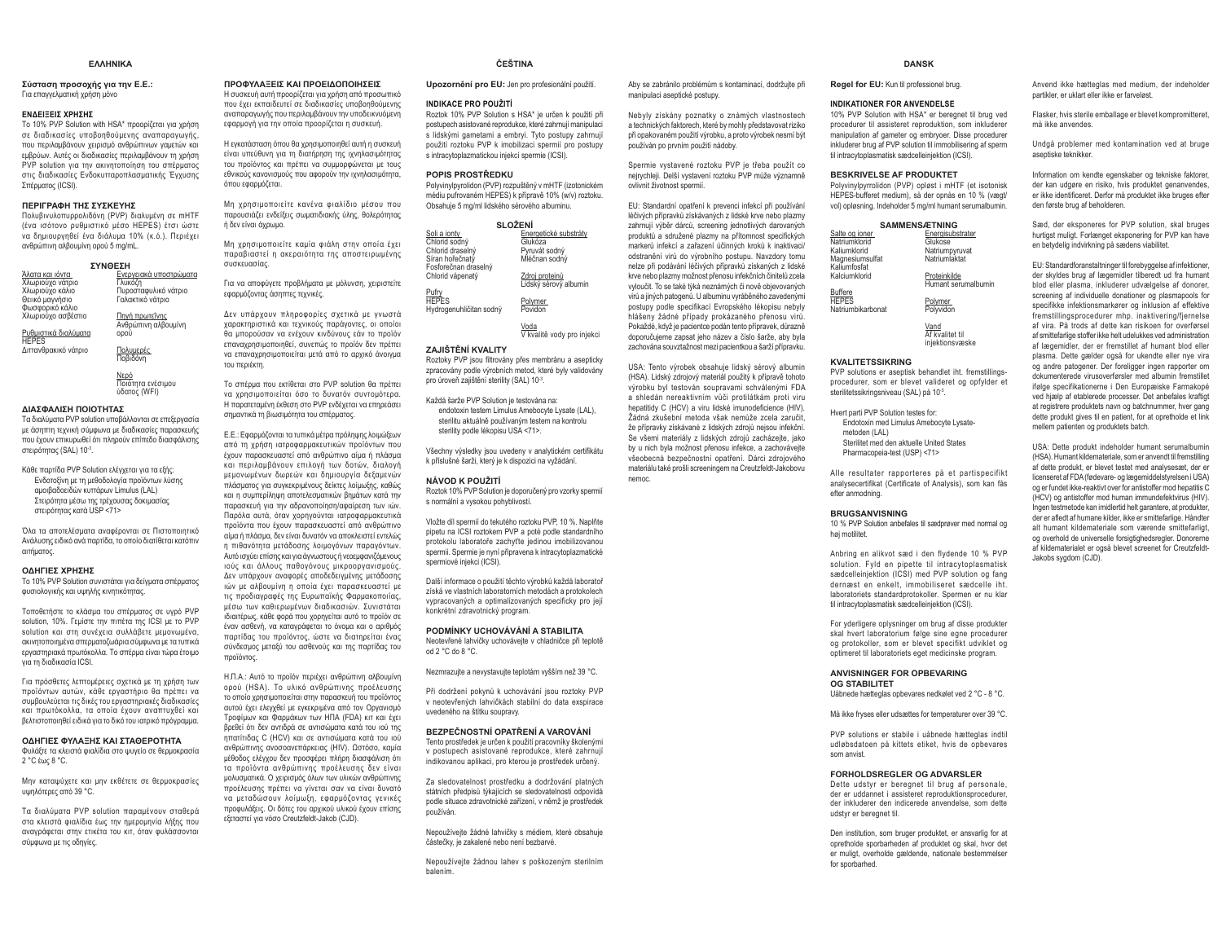### **FAAHNIKA**

### Σύσταση προσοχής για την Ε.Ε.: Για επαννελματική χρήση μόνο

### ENΔΕΙΞΕΙΣ ΧΡΗΣΗΣ

Το 10% PVP Solution with HSA\* προορίζεται για χρήση σε διαδικασίες υποβοηθούμενης αναπαραγωγής, που περιλαμβάνουν χειρισμό ανθρώπινων γαμετών και εμβρύων. Αυτές οι διαδικασίες περιλαμβάνουν τη χρήση **PVP** solution via την ακινητοποίηση του απέρματος στις διαδικασίες Ενδοκυτταροπλασματικής Έγχυσης Σπέρματος (ICSI).

## **ΠΕΡΙΓΡΑΦΗ ΤΗΣ ΣΥΣΚΕΥΗΣ**

Πολυβινυλοπυρρολιδόνη (PVP) διαλυμένη σε mHTF (ένα ισότονο ρυθμιστικό μέσο HEPES) έτσι ώστε να δημιουργηθεί ένα διάλυμα 10% (κ.ό.). Περιέχει ανθρώπινη αλβουμίνη ορού 5 mg/mL.

| ΣΥΝΘΕΣΗ              |                                              |  |
|----------------------|----------------------------------------------|--|
| Άλατα και ιόντα      | Ενεργειακά υποστρώματα                       |  |
| Χλωριούχο νάτριο     | Γλυκόζη                                      |  |
| Χλωριούχο κάλιο      | Πυροσταφυλικό νάτριο                         |  |
| Θειικό μαγνήσιο      | Γαλακτικό νάτοιο                             |  |
| Φωσφορικό κάλιο      |                                              |  |
| Χλωριούνο ασβέστιο   | <u>Πηγή πρωτεΐνης</u><br>Ανθρώπινη αλβουμίνη |  |
|                      |                                              |  |
| Ρυθμιστικά διαλύματα | ορού                                         |  |
| <b>HEPES</b>         |                                              |  |
| Διττανθρακικό νάτριο | Πολυμερές                                    |  |
|                      | Ποβιδόνη                                     |  |

Νερό ........<br>Ποιότητα ενέσιμου  $\hat{U}$ δατος (WEI)

### ΔΙΑΣΦΑΛΙΣΗ ΠΟΙΟΤΗΤΑΣ

Τα διαλύματα PVP solution υποβάλλονται σε επεξεργασία ιε άσηπτη τεχνική σύμφωνα με διαδικασίες παρασκευής που έχουν επικυρωθεί ότι πληρούν επίπεδο διασφάλισης στειρότητας (SAL) 10-3.

Κάθε παρτίδα PVP Solution ελέγχεται για τα εξής: Ενδοτοξίνη με τη μεθοδολογία προϊόντων λύσης αμοιβαδοειδών κυπάρων Limulus (LAL) Στειρότητα μέσω της τρέχουσας δοκιμασίας στειρότητας κατά USP <71>

Όλα τα αποτελέσματα αναφέρονται σε Πιστοποιητικό Ανάλυσης ειδικό ανά παρτίδα, το οποίο διατίθεται κατόπιν σιτήματος

## **ΟΔΗΓΙΕΣ ΧΡΗΣΗΣ**

Το 10% PVP Solution συνιστάται για δείγματα σπέρματος φυσιολογικής και υψηλής κινητικότητας

Τοποθετήστε το κλάσμα του σπέρματος σε υνοό PVP Solution 10% Γεμίστε την πιπέτα της ICSL με το PVP solution και στη συνέχεια συλλάβετε μεμονωμένα, ακινητοποιημένα σπερματοζωάρια σύμφωνα με τα τυπικά Ξω, με το προστηματικό του μεταστηματικό του μεταστηματικό πρωτόκολλα. Το σπέρμα είναι τώρα έτοιμο νια τη διαδικασία ICSI.

Για πρόσθετες λεπτομέρειες σχετικά με τη χρήση των προϊόντων αυτών, κάθε εργαστήριο θα πρέπει να συμβουλεύεται τις δικές του εργαστηριακές διαδικασίες και πρωτόκολλα, τα οποία έχουν αναπτυχθεί και βελτιστοποιηθεί ειδικά για το δικό του ιατρικό πρόγραμμα.

### **ΟΔΗΓΙΕΣ ΦΥΛΑΞΗΣ ΚΑΙ ΣΤΑΘΕΡΟΤΗΤΑ**

Φυλάξτε τα κλειστά φιαλίδια στο ψυγείο σε θερμοκρασία 2 °C fur 8 °C

Μην καταψύχετε και μην εκθέτετε σε θερμοκρασίες υψηλότερες από 39 °C.

Τα διαλύματα PVP solution παραμένουν σταθερά στα κλειστά φιαλίδια έως την ημερομηνία λήξης που αναγράφεται στην ετικέτα του κιτ. όταν φυλάσσονται σύμφωνα με τις οδηνίες.

### **ΠΡΩΦΥΛΑΞΕΙΣ ΚΑΙ ΠΡΩΕΙΛΩΠΩΙΗΣΕΙΣ**

Η συσκευή αυτή προορίζεται για χρήση από προσωπικό που έχει εκπαιδευτεί σε διαδικασίες υποβοηθούμενης αναπαραγωγής που περιλαμβάνουν την υποδεικνυόμενη εφαρμογή για την οποία προορίζεται η συσκευή.

Η εγκατάσταση όπου θα χρησιμοποιηθεί αυτή η συσκευή είναι υπεύθυνη για τη διατήρηση της ιχνηλασιμότητας του προϊόντος και πρέπει να συμμορφώνεται με τους εθνικούς κανονισμούς που αφορούν την ιχνηλασιμότητα,  $\overline{\text{G}}$ 

Μη χρησιμοποιείτε κανένα φιαλίδιο μέσου που παρουσιάζει ενδείξεις σωματιδιακής ύλης, θολερότητας ȒįİȞİȓȞĮȚȐȤȡȦȝȠ

Μη χρησιμοποιείτε καμία φιάλη στην οποία έχει παραβιαστεί η ακεραιότητα της αποστειρωμένης  $\alpha$ 

Για να αποφύγετε προβλήματα με μόλυνση, χειριστείτε εφαρμόζοντας άσηπτες τεχνικές.

Δεν υπάρχουν πληροφορίες σχετικά με γνωστά χαρακτηριστικά και τεχνικούς παράγοντες, οι οποίοι șĮ ȝʌȠȡȠȪıĮȞ ȞĮ İȞȑȤȠȣȞ țȚȞįȪȞȠȣȢ İȐȞ IJȠ ʌȡȠȧȩȞ επαναχρησιμοποιηθεί, συνεπώς το προϊόν δεν πρέπει να επαναχρησιμοποιείται μετά από το αρχικό άνοινμα του περιέκτη.

Το σπέρμα που εκτίθεται στο PVP solution θα πρέπει να χρησιμοποιείται όσο το δυνατόν συντομότερα. H παρατεταυένη έκθεση στο PVP ενδέχεται να επηρεάσει σημαντικά τη βιωσιμότητα του σπέρματος.

E.E.: Εφαρμόζονται τα τυπικά μέτρα πρόληψης λοιμώξεων από τη χρήση ιατροφαρμακευτικών προϊόντων που έχουν παρασκευαστεί από ανθρώπινο αίμα ή πλάσμα και περιλαμβάνουν επιλονή των δοτών. διαλονή μεμονωμένων δωρεών και δημιουργία δεξαμενών πλάσματος για συνκεκριμένους δείκτες λοίμωξης, καθώς και η συμπερίληψη αποτελεσματικών βημάτων κατά την παρασκευή για την αδρανοποίηση/αφαίρεση των ιών. Παρόλα αυτά, όταν χορηγούνται ιατροφαρμακευτικά προϊόντα που έχουν παρασκευαστεί από ανθρώπινο αίμα ή πλάσμα, δεν είναι δυνατόν να αποκλειστεί εντελώς  $\overline{p}$  πιθανότητα μετάδοσης λοιμονόνων παρανόντων Aυτό ισχύει επίσης και νια άννωστους ή νεοεμφανιζόμενους ιούς και άλλους παθογόνους μικροοργανισμούς. Δεν υπάρχουν αναφορές αποδεδειγμένης μετάδοσης τών με αλβουμίνη η οποία έχει παρασκευαστεί με τις προδιαγραφές της Ευρωπαϊκής Φαρμακοποιίας, μέσω των καθιερωμένων διαδικασιών. Συνιστάται ιδιαιτέρως, κάθε φορά που χορηγείται αυτό το προϊόν σε έναν ασθενή, να καταγράφεται το όνομα και ο αριθμός παρτίδας του προϊόντος, ώστε να διατηρείται ένας σύνδεσμος μεταξύ του ασθενούς και της παρτίδας του πορϊόντος

H.Π.Α.: Αυτό το προϊόν περιένει ανθρώπινη αλβουμίνη ορού (HSA). Το υλικό ανθρώπινης προέλευσης το οποίο χρησιμοποιείται στην παρασκευή του προϊόντος αυτού έχει ελεγχθεί με εγκεκριμένα από τον Οργανισμό Τροφίμων και Φαρμάκων των ΗΠΑ (FDA) κιτ και έχει βρεθεί ότι δεν αντιδρά σε αντισώματα κατά του ιού της **ηπατίτιδας C (HCV) και σε αντισώματα κατά του ιού** ανθρώπινης ανοσοανεπάρκειας (HIV). Ωστόσο, καμία μέθοδος ελέγχου δεν προσφέρει πλήρη διασφάλιση ότι **Τα προϊόντα ανθρώπινης προέλευσης δεν είναι** μολυσματικά. Ο χειρισμός όλων των υλικών ανθρώπινης προέλευσης πρέπει να νίνεται σαν να είναι δυνατό να μεταδώσουν λοίμωξη, εφαρμόζοντας γενικές προφυλάξεις. Οι δότες του αρχικού υλικού έχουν επίσης εξεταστεί για νόσο Creutzfeldt-Jakob (CJD).

# **ČEŠTINA**

### Upozornění pro EU: Jen pro profesionální použití.

### **INDIKACE PRO POUŽITÍ**

Roztok 10% PVP Solution s HSA\* je určen k použití při postupech asistované reprodukce, které zahrnují manipulaci s lidskými gametami a embryi. Tyto postupy zahrnují použití roztoku PVP k imobilizaci spermií pro postupy s intracytoplazmatickou injekcí spermie (ICSI).

### **POPIS PROSTŘEDKU**

Polyvinylpyrolidon (PVP) rozpuštěný v mHTF (izotonickém médiu pufrovaném HEPES) k přípravě 10% (w/v) roztoku. Obsahuje 5 mg/ml lidského sérového albuminu.

| <b>SLOŽENÍ</b>                                                                               |                                                                    |  |
|----------------------------------------------------------------------------------------------|--------------------------------------------------------------------|--|
| Soli a jonty<br>Chlorid sodný<br>Chlorid draselný<br>Síran hořečnatý<br>Fosforečnan draselný | Energetické substráty<br>Glukóza<br>Pyruvát sodný<br>Mléčnan sodný |  |
| Chlorid vápenatý                                                                             | Zdroj proteinů<br>Lidský sérový albumin                            |  |
| Pufry<br>HEPES<br>Hydrogenuhličitan sodný                                                    | Polymer<br>Povidon                                                 |  |
|                                                                                              | Voda<br>V kvalitě vody pro injekci                                 |  |

### **ZAJIŠTĚNÍ KVALITY**

Roztoky PVP jsou filtrovány přes membránu a asepticky zpracovány podle výrobních metod, které byly validovány pro úroveň zajištění sterility (SAL) 10-3.

Každá šarže PVP Solution je testována na: endotoxin testem Limulus Amebocyte Lysate (LAL), sterilitu aktuálně noužívaným testem na kontrolu sterility podle lékopisu USA <71>.

Všechny výsledky jsou uvedeny v analytickém certifikátu k příslušné šarži, který je k dispozici na vyžádání.

### **NÁVOD K POUŽITÍ**

Roztok 10% PVP Solution je doporučený pro vzorky spermií s normální a vysokou pohyblivostí.

Vložte díl spermií do tekutého roztoku PVP. 10 %. Naplňte pipetu na ICSI roztokem PVP a poté podle standardního protokolu laboratoře zachyťte jedinou imobilizovanou spermii. Spermie je nyní připravena k intracytoplazmatické spermiové injekci (ICSI).

Další informace o noužití těchto výrobků každá laboratoř získá ve vlastních laboratorních metodách a protokolech vypracovaných a optimalizovaných specificky pro její konkrétní zdravotnický program.

### **PODMÍNKY UCHOVÁVÁNÍ A STABILITA**

Neotevřené lahvičky uchovávejte v chladničce při teplotě od 2 °C do 8 °C.

Nezmrazuite a nevystavuite teplotám vyšším než 39 °C.

Při dodržení pokynů k uchovávání jsou roztoky PVP v neotevřených lahvičkách stabilní do data exspirace uvedeného na štítku soupravy.

### **BEZPEČNOSTNÍ OPATŘENÍ A VAROVÁNÍ**

Tento prostředek je určen k použití pracovníky školenými v postupech asistované reprodukce, které zahrnují indikovanou aplikaci, pro kterou je prostředek určený.

Za sledovatelnost prostředku a dodržování platných státních nřednisů týkajících se sledovatelnosti odnovídá podle situace zdravotnické zařízení, v němž je prostředek noužíván

Nepoužívejte žádné lahvičky s médiem, které obsahuje částečky, je zakalené nebo není bezbarvé.

Nepoužívejte žádnou lahev s poškozeným sterilním balením.

### **DANSK**

**Regel for EU:** Kun til professionel brug.

### **INDIKATIONER FOR ANVENDELSE**

Aby se zabránilo problémům s kontaminací, dodržuite při

Nebyly získány poznatky o známých vlastnostech a technických faktorech, které by mohly představovat riziko při opakovaném použití výrobku, a proto výrobek nesmí být

Spermie vystavené roztoku PVP je třeba použít co neirychleji. Delší vystavení roztoku PVP může významně

EU: Standardní opatření k prevenci infekcí při používání léčivých přípravků získávaných z lidské krve nebo plazmy zahrnují výběr dárců, screening jednotlivých darovaných produktů a sdružené plazmy na přítomnost specifických markerů infekcí a zařazení účinných kroků k inaktivaci/ RGV HAGVET VAR VEDELIGI GRADEN SAVAST VIDIL ARGUMENT SARA nelze při podávání léčivých přípravků získaných z lidské krye nebo plazmy možnost přenosu infekčních činitelů zcela vyloučit. To se také týká neznámých či nově objevovaných virů a jiných patogenů. U albuminu vyráběného zavedenými postupy podle specifikací Evropského lékopisu nebyly hlášeny žádné případy prokázaného přenosu virů. Pokaždé, když je pacientce podán tento přípravek, důrazně doporučujeme zapsat jeho název a číslo šarže, aby byla zachována souvztažnost mezi pacientkou a šarží přípravku. USA: Tento výrobek obsahuje lidský sérový albumin (HSA). Lidský zdrojový materiál použitý k přípravě tohoto výrobku byl testován soupravami schválenými FDA a shledán nereaktivním vůči protilátkám proti viru hepatitidy C (HCV) a viru lidské imunodeficience (HIV), Žádná zkušební metoda však nemůže zcela zaručit, že přípravky získávané z lidských zdrojů nejsou infekční. Se všemi materiály z lidských zdrojů zacházejte, jako by u nich byla možnost přenosu infekce, a zachovávejte všeobecná bezpečnostní opatření. Dárci zdrojového materiálu také prošli screeningem na Creutzfeldt-Jakobovu

manipulaci aseptické postupy.

.<br>používán po prvním použití nádoby.

ovlivnit životnost spermií.

nemoc.

 10% PVP Solution with HSA\* er beregnet til brug ved procedurer til assisteret reproduktion, som inkluderer manipulation af gameter og embryoer. Disse procedurer inkluderer brug af PVP solution til immobilisering af sperm til intracytoplasmatisk sædcelleinjektion (ICSI).

### **BESKRIVELSE AF PRODUKTET**

 Polyvinylpyrrolidon (PVP) opløst i mHTF (et isotonisk HEPES-bufferet medium), så der opnås en 10 % (vægt/ vol) opløsning. Indeholder 5 mg/ml humant serumalbumin.

| <b>SAMMENSÆTNING</b>            |                     |  |
|---------------------------------|---------------------|--|
| Salte og ioner                  | Energisubstrater    |  |
| Natriumklorid                   | Glukose             |  |
| Kaliumklorid                    | Natriumpyruvat      |  |
| Magnesiumsulfat<br>Kaliumfosfat | Natriumlaktat       |  |
| Kalciumklorid                   | Proteinkilde        |  |
|                                 | Humant serumalbumin |  |
| <b>Buffere</b><br><b>HEPES</b>  | Polymer             |  |
| Natriumbikarbonat               | Polyvidon           |  |
|                                 |                     |  |
|                                 | $\cdots$            |  |

<u>Vand</u><br>Af kvalitet til injektionsvæske

### **KVALITETSSIKRING**

 PVP solutions er aseptisk behandlet iht. fremstillingsprocedurer, som er blevet valideret og opfylder et sterilitetssikringsniveau (SAL) på 10-3.

Hvert parti PVP Solution testes for: Endotoxin med Limulus Amebocyte Lysatemetoden (LAL) Sterilitet med den aktuelle United States Pharmacopeia-test (USP) <71>

Alle resultater rapporteres på et partispecifikt analysecertifikat (Certificate of Analysis), som kan fås efter anmodning.

### **BRUGSANVISNING**

 10 % PVP Solution anbefales til sædprøver med normal og høj motilitet.

Anbring en alikvot sæd i den flydende 10 % PVP solution. Fyld en pipette til intracytoplasmatisk sædcelleinjektion (ICSI) med PVP solution og fang dernæst en enkelt, immobiliseret sædcelle iht. laboratoriets standardprotokoller. Spermen er nu klar til intracytoplasmatisk sædcelleinjektion (ICSI).

For yderligere oplysninger om brug af disse produkter skal hvert laboratorium følge sine egne procedurer og protokoller, som er blevet specifikt udviklet og optimeret til laboratoriets eget medicinske program.

### **ANVISNINGER FOR OPBEVARING OG STABILITET**

Uåbnede hætteglas opbevares nedkølet ved 2 °C - 8 °C.

Må ikke fryses eller udsættes for temperaturer over 39 °C.

PVP solutions er stabile i uåbnede hætteglas indtil udløbsdatoen på kittets etiket, hvis de opbevares som anvist.

### **FORHOLDSREGLER OG ADVARSLER**

 Dette udstyr er beregnet til brug af personale, der er uddannet i assisteret reproduktionsprocedurer, der inkluderer den indicerede anvendelse, som dette udstyr er beregnet til.

Den institution, som bruger produktet, er ansvarlig for at opretholde sporbarheden af produktet og skal, hvor det er muligt, overholde gældende, nationale bestemmelser for sporbarhed.

Anvend ikke hætteglas med medium, der indeholder partikler, er uklart eller ikke er farveløst.

Flasker, hvis sterile emballage er blevet kompromitteret, må ikke anvendes.

Undgå problemer med kontamination ved at bruge aseptiske teknikker.

Information om kendte egenskaber og tekniske faktorer, der kan udgøre en risiko, hvis produktet genanvendes, er ikke identificeret. Derfor må produktet ikke bruges efter den første brug af beholderen.

Sæd, der eksponeres for PVP solution, skal bruges hurtigst muligt. Forlænget eksponering for PVP kan have en betydelig indvirkning på sædens viabilitet.

EU: Standardforanstaltninger til forebyggelse af infektioner, der skyldes brug af lægemidler tilberedt ud fra humant blod eller plasma, inkluderer udvælgelse af donorer, screening af individuelle donationer og plasmapools for specifikke infektionsmarkører og inklusion af effektive fremstillingsprocedurer mhp. inaktivering/fjernelse af vira. På trods af dette kan risikoen for overførsel af smittefarlige stoffer ikke helt udelukkes ved administration af lægemidler, der er fremstillet af humant blod eller plasma. Dette gælder også for ukendte eller nye vira og andre patogener. Der foreligger ingen rapporter om dokumenterede virusoverførsler med albumin fremstillet ifølge specifikationerne i Den Europæiske Farmakopé ved hjælp af etablerede processer. Det anbefales kraftigt at registrere produktets navn og batchnummer, hver gang dette produkt gives til en patient, for at opretholde et link mellem patienten og produktets batch.

USA: Dette produkt indeholder humant serumalbumin (HSA). Humant kildemateriale, som er anvendt til fremstilling af dette produkt, er blevet testet med analysesæt, der er licenseret af FDA (fødevare- og lægemiddelstyrelsen i USA) og er fundet ikke-reaktivt over for antistoffer mod hepatitis C (HCV) og antistoffer mod human immundefektvirus (HIV). Ingen testmetode kan imidlertid helt garantere, at produkter, GHUHUDAH HUDAHGWADAH HUDAHGWADAH HUDAHGWADAH PERDAHAHAT DENGAN BERBEDAH DARI BERBEDAH DARI BERBEDAH DARI BERBE alt humant kildemateriale som værende smittefarligt, og overhold de universelle forsigtighedsregler. Donorerne af kildematerialet er også blevet screenet for Creutzfeldt-Jakobs sygdom (CJD).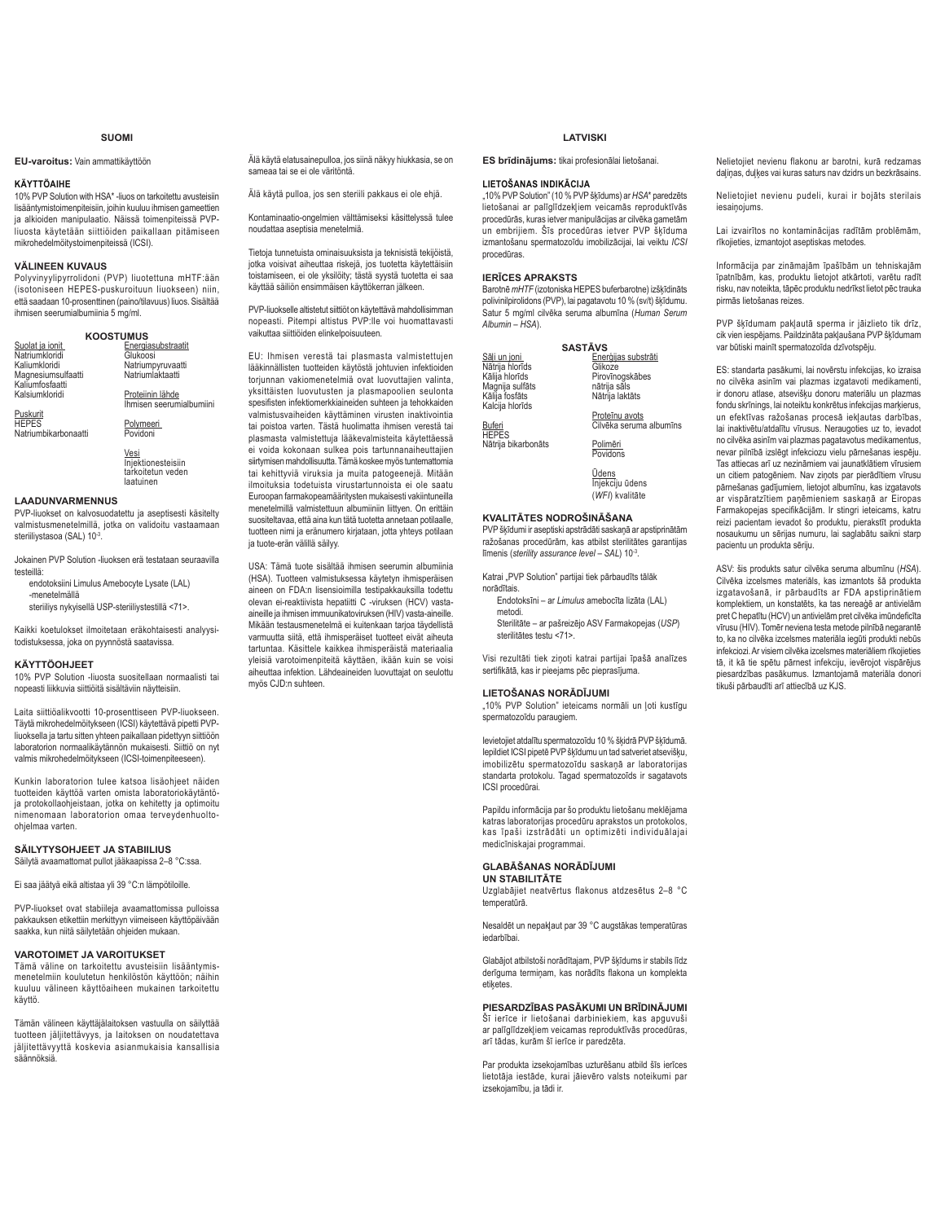## **SUOMI**

# **EU-varoitus:** Vain ammattikäyttöön

## **KÄYTTÖAIHE**

10% PVP Solution with HSA\* -liuos on tarkoitettu avusteisiin lisääntymistoimenpiteisiin, joihin kuuluu ihmisen gameettien ja alkioiden manipulaatio. Näissä toimenpiteissä PVPliuosta käytetään siittiöiden paikallaan pitämiseen mikrohedelmöitystoimenpiteissä (ICSI).

# **VÄLINEEN KUVAUS**

Polyvinyylipyrrolidoni (PVP) liuotettuna mHTF:ään (isotoniseen HEPES-puskuroituun liuokseen) niin, että saadaan 10-prosenttinen (paino/tilavuus) liuos. Sisältää ihmisen seerumialbumiinia 5 mg/ml.

| <b>KOOSTUMUS</b>   |                          |  |
|--------------------|--------------------------|--|
| Suolat ja ionit    | Energiasubstraatit       |  |
| Natriumkloridi     | Glukoosi                 |  |
| Kaliumkloridi      | Natriumpyruvaatti        |  |
| Magnesiumsulfaatti | Natriumlaktaatti         |  |
| Kaliumfosfaatti    |                          |  |
| Kalsiumkloridi     | Proteiinin lähde         |  |
|                    | Ihmisen seerumialbumiini |  |

Puskurit HEPES Natriumbikarbonaatti

> Vesi Injektionesteisiin tarkoitetun veden laatuinen

Polymeeri<br>Povidoni

# **LAADUNVARMENNUS**

PVP-liuokset on kalvosuodatettu ja aseptisesti käsitelty valmistusmenetelmillä, jotka on validoitu vastaamaan steriiliystasoa (SAL) 10-3

Jokainen PVP Solution -liuoksen erä testataan seuraavilla

- testeillä: endotoksiini Limulus Amebocyte Lysate (LAL) -menetelmällä
	- steriiliys nykyisellä USP-steriiliystestillä <71>.

Kaikki koetulokset ilmoitetaan eräkohtaisesti analyysitodistuksessa, joka on pyynnöstä saatavissa.

### **KÄYTTÖOHJEET**

10% PVP Solution -liuosta suositellaan normaalisti tai nopeasti liikkuvia siittiöitä sisältäviin näytteisiin.

Laita siittiöalikvootti 10-prosenttiseen PVP-liuokseen. Täytä mikrohedelmöitykseen (ICSI) käytettävä pipetti PVPliuoksella ja tartu sitten yhteen paikallaan pidettyyn siittiöön laboratorion normaalikäytännön mukaisesti. Siittiö on nyt valmis mikrohedelmöitykseen (ICSI-toimenpiteeseen).

Kunkin laboratorion tulee katsoa lisäohjeet näiden tuotteiden käyttöä varten omista laboratoriokäytäntö-ja protokollaohjeistaan, jotka on kehitetty ja optimoitu nimenomaan laboratorion omaa terveydenhuoltoohielmaa varten.

# **SÄILYTYSOHJEET JA STABIILIUS**

Säilytä avaamattomat pullot jääkaapissa 2–8 °C:ssa.

Ei saa jäätyä eikä altistaa yli 39 °C:n lämpötiloille.

PVP-liuokset ovat stabiileja avaamattomissa pulloissa pakkauksen etikettiin merkittyyn viimeiseen käyttöpäivään saakka, kun niitä säilytetään ohjeiden mukaan.

# **VAROTOIMET JA VAROITUKSET**

Tämä väline on tarkoitettu avusteisiin lisääntymismenetelmiin koulutetun henkilöstön käyttöön; näihin kuuluu välineen käyttöaiheen mukainen tarkoitettu käyttö.

Tämän välineen käyttäjälaitoksen vastuulla on säilyttää tuotteen jäljitettävyys, ja laitoksen on noudatettava jäljitettävyyttä koskevia asianmukaisia kansallisia säännöksiä.

Älä käytä elatusainepulloa, jos siinä näkyy hiukkasia, se on sameaa tai se ei ole väritöntä.

Älä käytä pulloa, jos sen steriili pakkaus ei ole ehjä.

Kontaminaatio-ongelmien välttämiseksi käsittelyssä tulee noudattaa aseptisia menetelmiä.

Tietoja tunnetuista ominaisuuksista ja teknisistä tekijöistä, jotka voisivat aiheuttaa riskejä, jos tuotetta käytettäisiin toistamiseen, ei ole yksilöity; tästä syystä tuotetta ei saa käyttää säiliön ensimmäisen käyttökerran jälkeen.

PVP-liuokselle altistetut siittiöt on käytettävä mahdollisimman nopeasti. Pitempi altistus PVP:lle voi huomattavasti vaikuttaa siittiöiden elinkelpoisuuteen.

EU: Ihmisen verestä tai plasmasta valmistettujen lääkinnällisten tuotteiden käytöstä johtuvien infektioiden torjunnan vakiomenetelmiä ovat luovuttajien valinta, yksittäisten luovutusten ja plasmapoolien seulonta werdigten infektiomerkkiaineiden suhteen ja tehokkaiden valmistusvaiheiden käyttäminen virusten inaktivointia tai poistoa varten. Tästä huolimatta ihmisen verestä tai plasmasta valmistettuja lääkevalmisteita käytettäessä ei voida kokonaan sulkea pois tartunnanaiheuttajien siirtymisen mahdollisuutta. Tämä koskee myös tuntemattomia tai kehittyviä viruksia ja muita patogeenejä. Mitään ilmoituksia todetuista virustartunnoista ei ole saatu Euroopan farmakopeamääritysten mukaisesti vakiintuneilla menetelmillä valmistettuun albumiiniin liittyen. On erittäin suositeltavaa, että aina kun tätä tuotetta annetaan potilaalle, tuotteen nimi ja eränumero kirjataan, jotta yhteys potilaan ja tuote-erän välillä säilyy.

USA: Tämä tuote sisältää ihmisen seerumin albumiinia (HSA). Tuotteen valmistuksessa käytetyn ihmisperäisen aineen on FDA:n lisensioimilla testipakkauksilla todettu olevan ei-reaktiivista hepatiitti C -viruksen (HCV) vastaaineille ja ihmisen immuunikatoviruksen (HIV) vasta-aineille. Mikään testausmenetelmä ei kuitenkaan tarjoa täydellistä varmuutta siitä, että ihmisperäiset tuotteet eivät aiheuta tartuntaa. Käsittele kaikkea ihmisperäistä materiaalia yleisiä varotoimenpiteitä käyttäen, ikään kuin se voisi aiheuttaa infektion. Lähdeaineiden luovuttajat on seulottu myös CJD:n suhteen.

# **LATVISKI**

**ES brīdinājums**: tikai profesionālai lietošanai

### **LIETOŠANAS INDIKĀCIJA**

"10% PVP Solution" (10 % PVP šķīdums) ar HSA\* paredzēts lietošanai ar palīglīdzekliem veicamās reproduktīvās procedūrās, kuras ietver manipulācijas ar cilvēka gametām un embrijiem. Šīs procedūras ietver PVP škīduma izmantošanu spermatozoīdu imobilizācijai, lai veiktu ICSI procedūras.

# *IERICES APRAKSTS*

Barotnē mHTF (izotoniska HEPES buferbarotne) izšķīdināts polivinilpirolidons (PVP), lai pagatavotu 10 % (sv/t) šķīdumu. Satur 5 mg/ml cilvēka seruma albumīna (Human Serum *Albumin* – *HSA*).

|                                   | <b>SASTĀVS</b> |                         |
|-----------------------------------|----------------|-------------------------|
| Sāli un joni                      |                | Enerģijas substrāti     |
| Nātrija hlorīds                   |                | Glikoze                 |
| Kālija hlorīds                    |                | Pirovīnogskābes         |
| Magnija sulfāts                   |                | nātrija sāls            |
| Kālija fosfāts<br>Kalcija hlorīds |                | Nātrija laktāts         |
|                                   |                | Proteīnu avots          |
| Buferi                            |                | Cilvēka seruma albumīns |
| <b>HEPES</b>                      |                | Polimēri                |
| Nātrija bikarbonāts               |                | Povidons                |
|                                   |                |                         |
|                                   |                | Ūdens                   |
|                                   |                | Injekciju ūdens         |
|                                   |                | (WFI) kvalitāte         |
|                                   |                |                         |

# **KVALITĀTES NODROŠINĀŠANA**

PVP šķīdumi ir aseptiski apstrādāti saskaņā ar apstiprinātām ražošanas procedūrām, kas atbilst sterilitātes garantijas līmenis (sterility assurance level – SAL) 10<sup>-3</sup>.

Katrai "PVP Solution" partijai tiek pārbaudīts tālāk norādītais

**Endotoksīni – ar Limulus amebocīta lizāta (LAL)** metodi.

Sterilitāte - ar pašreizējo ASV Farmakopejas (USP) sterilitātes testu <71> Visi rezultāti tiek ziņoti katrai partijai īpašā analīzes

sertifikātā, kas ir pieejams pēc pieprasījuma. **LIETOŠANAS NORĀDĪJUMI** 

"10% PVP Solution" ieteicams normāli un ļoti kustīgu spermatozoīdu paraugiem.

levietojiet atdalītu spermatozoīdu 10 % šķidrā PVP šķīdumā. lepildiet ICSI pipetē PVP šķīdumu un tad satveriet atsevišķu, imobilizētu spermatozoīdu saskanā ar laboratorijas standarta protokolu. Tagad spermatozoīds ir sagatavots JCSI procedūrai

Papildu informācija par šo produktu lietošanu meklējama katras laboratorijas procedūru aprakstos un protokolos,<br>kas īpaši izstrādāti un optimizēti individuālajai medicīniskajai programmai

# $GLABĀŠANAS NORĀDĪJUMI$

**UN STABILITÄTE** Uzglabājiet neatvērtus flakonus atdzesētus 2-8 °C temperatūrā.

Nesaldēt un nepaklaut par 39 °C augstākas temperatūras iedarbībai.

Glabājot atbilstoši norādītajam, PVP šķīdums ir stabils līdz derīguma termiņam, kas norādīts flakona un komplekta etiketes.

### **PIESARDZĪBAS PASĀKUMI UN BRĪDINĀ.JUMI**

Šī ierīce ir lietošanai darbiniekiem, kas apguvuši ar palīglīdzekļiem veicamas reproduktīvās procedūras, arī tādas, kurām šī ierīce ir paredzēta.

Par produkta izsekojamības uzturēšanu atbild šīs ierīces lietotāja iestāde, kurai jāievēro valsts noteikumi par izsekojamību, ja tādi ir.

Nelietojiet nevienu flakonu ar barotni, kurā redzamas daļiņas, duļķes vai kuras saturs nav dzidrs un bezkrāsains.

Nelietojiet nevienų pudelį, kurai ir bojāts sterilais iesainojums

Lai izvairītos no kontaminācijas radītām problēmām. rīkojieties, izmantojot aseptiskas metodes.

Informācija par zināmajām īpašībām un tehniskajām īpatnībām, kas, produktu lietojot atkārtoti, varētu radīt risku, nav noteikta, tāpēc produktu nedrīkst lietot pēc trauka pirmās lietošanas reizes

PVP škīdumam paklautā sperma ir jāizlieto tik drīz, cik vien iespējams. Paildzināta pakļaušana PVP šķīdumam var būtiski mainīt spermatozoīda dzīvotspēju.

ES: standarta pasākumi, lai novērstu infekcijas, ko izraisa no cilvēka asinīm vai plazmas izgatavoti medikamenti, ir donoru atlase, atsevišķu donoru materiālu un plazmas fondu skrīnings, lai noteiktu konkrētus infekcijas markierus. un efektīvas ražošanas procesā iekļautas darbības, lai inaktivētu/atdalītu vīrusus. Neraugoties uz to, ievadot no cilvēka asinīm vai plazmas pagatavotus medikamentus, nevar pilnībā izslēgt infekciozu vielu pārnešanas iespēju. Tas attiecas arī uz nezināmiem vai jaunatklātiem vīrusiem un citiem patogēniem. Nav ziņots par pierādītiem vīrusu pārnešanas gadījumiem, lietojot albumīnu, kas izgatavots ar visnāratzītiem nanēmieniem saskanā ar Fironas Farmakopejas specifikācijām. Ir stingri ieteicams, katru reizi pacientam ievadot šo produktu, pierakstīt produkta TELE PERSONALIN TETERET EF PERSONAL, PERSONAL PERSONALIN DOSaukumu un sērijas numuru, lai saglabātu saikni starp pacientu un produkta sēriju.

ASV: šis produkts satur cilvēka seruma albumīnu (HSA). Cilvēka izcelsmes materiāls, kas izmantots šā produkta izgatavošanā, ir pārbaudīts ar FDA apstiprinātiem komplektiem, un konstatēts, ka tas nereaģē ar antivielām pret C hepatītu (HCV) un antivielām pret cilvēka imūndeficīta vīrusu (HIV). Tomēr neviena testa metode pilnībā negarantē to, ka no cilvēka izcelsmes materiāla iegūti produkti nebūs infekciozi. Ar visiem cilvēka izcelsmes materiāliem rīkojieties tā, it kā tie spētu pārnest infekciju, ievērojot vispārējus piesardzības pasākumus. Izmantojamā materiāla donori tikuši nārhaudīti arī attiecībā uz KJS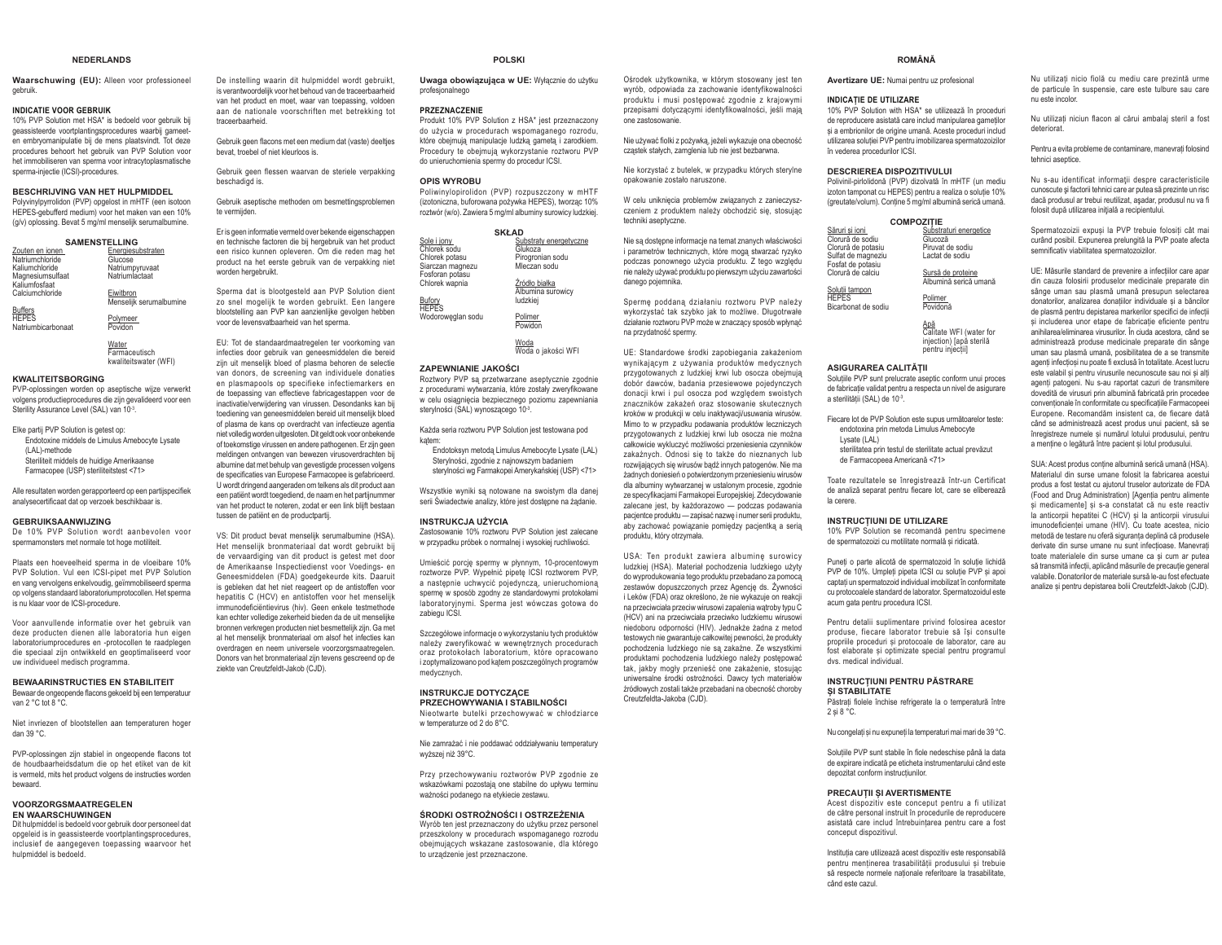### **NEDERLANDS**

**Waarschuwing (EU):** Alleen voor professioneel gebruik.

### **INDICATIE VOOR GEBRUIK**

 10% PVP Solution met HSA\* is bedoeld voor gebruik bij geassisteerde voortplantingsprocedures waarbij gameeten embryomanipulatie bij de mens plaatsvindt. Tot deze procedures behoort het gebruik van PVP Solution voor het immobiliseren van sperma voor intracytoplasmatische sperma-injectie (ICSI)-procedures.

### **BESCHRIJVING VAN HET HULPMIDDEL**

 Polyvinylpyrrolidon (PVP) opgelost in mHTF (een isotoon HEPES-gebufferd medium) voor het maken van een 10% (g/v) oplossing. Bevat 5 mg/ml menselijk serumalbumine.

| <b>SAMENSTELLING</b>              |                                      |  |
|-----------------------------------|--------------------------------------|--|
| Zouten en ionen                   | Energiesubstraten                    |  |
| Natriumchloride                   | Glucose                              |  |
| Kaliumchloride                    | Natriumpyruvaat                      |  |
| Magnesiumsulfaat<br>Kalĭumfosfaat | Natriumlactaat                       |  |
| Calciumchloride                   | Eiwitbron<br>Menselijk serumalbumine |  |
| <b>Buffers</b>                    |                                      |  |
| <b>HEPES</b>                      | Polymeer                             |  |
| Natriumbicarbonaat                | Povidon                              |  |
|                                   |                                      |  |

<u>Water</u><br>Farmaceutisch kwaliteitswater (WFI)

### **KWALITEITSBORGING**

 PVP-oplossingen worden op aseptische wijze verwerkt volgens productieprocedures die zijn gevalideerd voor een Sterility Assurance Level (SAL) van 10-3.

Elke partij PVP Solution is getest op: Endotoxine middels de Limulus Amebocyte Lysate (LAL)-methode Steriliteit middels de huidige Amerikaanse Farmacopee (USP) steriliteitstest <71>

Alle resultaten worden gerapporteerd op een partijspecifiek analysecertificaat dat op verzoek beschikbaar is.

## **GEBRUIKSAANWIJZING**

 De 10% PVP Solution wordt aanbevolen voor spermamonsters met normale tot hoge motiliteit.

Plaats een hoeveelheid sperma in de vloeibare 10% PVP Solution. Vul een ICSI-pipet met PVP Solution en vang vervolgens enkelvoudig, geïmmobiliseerd sperma op volgens standaard laboratoriumprotocollen. Het sperma is nu klaar voor de ICSI-procedure.

Voor aanvullende informatie over het gebruik van deze producten dienen alle laboratoria hun eigen laboratoriumprocedures en -protocollen te raadplegen die speciaal zijn ontwikkeld en geoptimaliseerd voor uw individueel medisch programma.

### **BEWAARINSTRUCTIES EN STABILITEIT**

Bewaar de ongeopende flacons gekoeld bij een temperatuur van 2 °C tot 8 °C.

Niet invriezen of blootstellen aan temperaturen hoger dan 39 °C.

PVP-oplossingen zijn stabiel in ongeonende flacons tot de houdbaarheidsdatum die op het etiket van de kit is vermeld, mits het product volgens de instructies worden bewaard.

### **VOORZORGSMAATREGELEN EN WAARSCHUWINGEN**

 Dit hulpmiddel is bedoeld voor gebruik door personeel dat opgeleid is in geassisteerde voortplantingsprocedures, inclusief de aangegeven toepassing waarvoor het hulpmiddel is bedoeld.

De instelling waarin dit hulpmiddel wordt gebruikt, is verantwoordelijk voor het behoud van de traceerbaarheid van het product en moet, waar van toepassing, voldoen aan de nationale voorschriften met betrekking tot traceerbaarheid.

Gebruik geen flacons met een medium dat (vaste) deelties bevat, troebel of niet kleurloos is.

Gebruik geen flessen waarvan de steriele verpakking beschadigd is.

Gebruik aseptische methoden om besmettingsproblemen te vermijden

Er is geen informatie vermeld over bekende eigenschappen en technische factoren die bij hergebruik van het product een risico kunnen opleveren. Om die reden mag het product na het eerste gebruik van de verpakking niet worden hergebruikt.

Sperma dat is blootgesteld aan PVP Solution dient zo snel mogelijk te worden gebruikt. Een langere blootstelling aan PVP kan aanzienlijke gevolgen hebben voor de levensvatbaarheid van het sperma.

EU: Tot de standaardmaatregelen ter voorkoming van infecties door gebruik van geneesmiddelen die bereid zijn uit menselijk bloed of plasma behoren de selectie van donors, de screening van individuele donaties en plasmapools op specifieke infectiemarkers en de toepassing van effectieve fabricagestappen voor de inactivatie/verwijdering van virussen. Desondanks kan bij toediening van geneesmiddelen bereid uit menselijk bloed of plasma de kans op overdracht van infectieuze agentia niet volledig worden uitgesloten. Dit geldt ook voor onbekende of toekomstige virussen en andere pathogenen. Er zijn geen meldingen ontvangen van bewezen virusoverdrachten bij albumine dat met behulp van gevestigde processen volgens de specificaties van Europese Farmacopee is gefabriceerd. U wordt dringend aangeraden om telkens als dit product aan een patiënt wordt toegediend, de naam en het partijnummer van het product te noteren, zodat er een link blijft bestaan tussen de patiënt en de productpartij.

VS: Dit product bevat menselijk serumalbumine (HSA). Het menselijk bronmateriaal dat wordt gebruikt bij de vervaardiging van dit product is getest met door de Amerikaanse Inspectiedienst voor Voedings- en Geneesmiddelen (FDA) goedgekeurde kits. Daaruit is gebleken dat het niet reageert op de antistoffen voor hepatitis C (HCV) en antistoffen voor het menselijk immunodeficiëntievirus (hiv). Geen enkele testmethode kan echter volledige zekerheid bieden da de uit menselijke bronnen verkregen producten niet besmettelijk zijn. Ga met al het menselijk bronmateriaal om alsof het infecties kan overdragen en neem universele voorzorgsmaatregelen. Donors van het bronmateriaal zijn tevens gescreend op de ziekte van Creutzfeldt-Jakob (CJD).

sperme w sposób zgodny ze standardowymi protokołami laboratoryjnymi. Sperma jest wówczas gotowa do zabiegu ICSI. Szczegółowe informacie o wykorzystaniu tych produktów

należy zweryfikować w wewnetrznych procedurach RUDES SURVEY OF THE REGISTER AND ACTOR i zoptymalizowano pod katem poszczególnych programów medycznych.

**POLSKI**

do użycia w procedurach wspomaganego rozrodu. które obejmują manipulacje ludzką gametą i zarodkiem. Procedury te obeimuja wykorzystanie roztworu PVP do unieruchomienia spermy do procedur ICSI.

 Poliwinylopirolidon (PVP) rozpuszczony w mHTF izotoniczna, buforowana pożywka HEPES), tworzac 10% roztwór (w/o). Zawiera 5 mg/ml albuminy surowicy ludzkiej. **SKŁAD** 

Roztwory PVP są przetwarzane aseptycznie zgodnie z procedurami wytwarzania, które zostały zweryfikowane w celu osiągnięcia bezpiecznego poziomu zapewniania

Każda seria roztworu PVP Solution jest testowana pod

Endotoksyn metodą Limulus Amebocyte Lysate (LAL) Stervlności, zgodnie z najnowszym badaniem sterylności wg Farmakopei Amerykańskiej (USP) <71> Wszystkie wyniki są notowane na swoistym dla danej serii Świadectwie analizy, które jest dostępne na żądanie.

 Zastosowanie 10% roztworu PVP Solution jest zalecane w przypadku próbek o normalnei i wysokiej ruchliwości. Umieścić porcję spermy w płynnym, 10-procentowym roztworze PVP. Wypełnić pipetę ICSI roztworem PVP, a następnie uchwycić pojedynczą, unieruchomioną

Substraty energetyczne Glukoza

 Pirogronian sodu Mleczan soduŹródło białka Albumina surowicy ludzkiej <u>Polimer</u><br>Powidon

<u>Woda</u><br>Woda o jakości WFI

profesjonalnego **PRZEZNACZENIE**

**OPIS WYROBU**

<u>Sole i jony.</u><br>Chlorek sodu Chlorek potasu Siarczan magnezu Fosforan potasu Chlorek wapnia Bufory<br>HEPES Wodorowęglan sodu

katem

*ZAPEWNIANIE JAKOŚCI* 

stervlności (SAL) wynoszacego 10<sup>3</sup>

**INSTRUKCJA UŻYCIA** 

### **INSTRUKCJE DOTYCZACE PRZECHOWYWANIA I STABILNOŚCI**

Nieotwarte butelki przechowywać w chłodziarce w temperaturze od 2 do 8°C.

Nie zamrażać i nie poddawać oddziaływaniu temperatury wyższei niż 39°C.

Przy przechowywaniu roztworów PVP zgodnie ze wskazówkami pozostają one stabilne do upływu terminu ważności nodanego na etykiecie zestawu

### ŚRODKI OSTROŻNOŚCI I OSTRZEŻENIA

Wyrób ten jest przeznaczony do użytku przez personel przeszkolony w procedurach wspomaganego rozrodu obejmujących wskazane zastosowanie, dla którego to urządzenie jest przeznaczone.

Uwaga obowiązująca w UE: Wyłącznie do użytku Produkt 10% PVP Solution z HSA\* jest przeznaczony Ośrodek użytkownika, w którym stosowany jest ten wyrób, odpowiada za zachowanie identyfikowalności produktu i musi postępować zgodnie z krajowymi przepisami dotyczącymi identyfikowalności, jeśli mają one zastosowanie.

> Nie używać fiolki z pożywką, jeżeli wykazuje ona obecność czastek stałych, zamglenia lub nie jest bezbarwna.

> Nie korzystać z butelek, w przypadku których sterylne onakowanie zostało naruszone

> W celu uniknięcia problemów związanych z zanieczyszczeniem z produktem należy obchodzić się, stosując techniki aseptyczne.

> Nie są dostępne informacje na temat znanych właściwości i parametrów technicznych, które mogą stwarzać ryzyko podczas ponownego użycia produktu. Z tego względu nie należy używać produktu po pierwszym użyciu zawartości danego pojemnika.

Spermę poddaną działaniu roztworu PVP należy wykorzystać tak szybko jak to możliwe. Długotrwałe działanie roztworu PVP może w znaczacy sposób wpłynać na przydatność spermy

UE: Standardowe środki zapobiegania zakażeniom wynikaiacym z używania produktów medycznych przygotowanych z ludzkiej krwi lub osocza obejmują dobór dawców, badania przesiewowe pojedynczych donacji krwi i pul osocza pod względem swoistych znaczników zakażeń oraz stosowanie skutecznych kroków w produkcji w celu inaktywacji/usuwania wirusów. Mimo to w przypadku podawania produktów leczniczych przygotowanych z ludzkiej krwi lub osocza nie można całkowicie wykluczyć możliwości przeniesienia czynników zakaźnych. Odnosi się to także do nieznanych lub mzwiiających się wirusów badź innych natogenów. Nie ma żadnych doniesień o potwierdzonym przeniesieniu wirusów dla albuminy wytwarzanej w ustalonym procesie, zgodnie ze specyfikacjami Farmakopei Europejskiej. Zdecydowanie zalecane jest, by każdorazowo — podczas podawania pacientce produktu - zapisać nazwe i numer serii produktu. aby zachować powiązanie pomiędzy pacjentką a serią produktu, który otrzymała.

USA: Ten produkt zawiera albumine surowicy ludzkiej (HSA). Materiał pochodzenia ludzkiego użyty do wyprodukowania tego produktu przebadano za pomoca zestawów dopuszczonych przez Agencie ds. Żywności i Leków (FDA) oraz określono, że nie wykazuje on reakcji na przeciwciała przeciw wirusowi zapalenia watroby typu C (HCV) ani na przeciwciała przeciwko ludzkiemu wirusowi niedoboru odporności (HIV). Jednakże żadna z metod testowych nie gwarantuie całkowitei pewności, że produkty pochodzenia ludzkiego nie są zakaźne. Ze wszystkimi .<br>produktami pochodzenia ludzkiego należy postępować tak, jakby mogły przenieść one zakażenie, stosując uniwersalne środki ostrożności. Dawcy tych materiałów źródłowych zostali także przebadani na obecność choroby Creutzfeldta-Jakoba (CJD).

**ROMÂNĂ** 

**Avertizare UE:** Numai pentru uz profesional

### **INDICATIE DE 11TII 17ARE**

10% PVP Solution with HSA\* se utilizează în proceduri de reproducere asistată care includ manipularea gametilor si a embrionilor de origine umană. Aceste proceduri includ utilizarea solutiei PVP pentru imobilizarea spermatozoizilor în vederea procedurilor ICSI.

### **DESCRIEREA DISPOZITIVUI UI**

Polivinil-pirlolidonă (PVP) dizolvată în mHTF (un mediu izoton tamponat cu HEPES) pentru a realiza o soluție 10% (greutate/volum). Contine 5 mg/ml albumină serică umană.

# **COMPOZIȚIE**<br>
Săruri si ioni

| Săruri si ioni                                                | Substraturi energetice                                                        |
|---------------------------------------------------------------|-------------------------------------------------------------------------------|
| Clorură de sodiu                                              | Glucoză                                                                       |
| Clorură de potasiu<br>Sulfat de magneziu<br>Fosfat de potasiu | Piruvat de sodiu<br>Lactat de sodiu                                           |
| Clorură de calciu                                             | Sursă de proteine                                                             |
| Solutii tampon                                                | Albumină serică umană                                                         |
| <b>HEPES</b>                                                  | Polimer                                                                       |
| Bicarbonat de sodiu                                           | Povidonă                                                                      |
|                                                               | Apă<br>Calitate WFI (water for<br>injection) [apå sterilă<br>pentru injectii] |

### **ASIGURAREA CALITĂTII**

Solutiile PVP sunt prelucrate aseptic conform unui proces de fabricatie validat pentru a respecta un nivel de asigurare a sterilității (SAL) de 10-3.

Fiecare lot de PVP Solution este supus următoarelor teste: endotoxina prin metoda Limulus Amebocyte Lysate (LAL)

sterilitatea prin testul de sterilitate actual prevăzut de Farmacopeea Americană <71>

Toate rezultatele se înregistrează într-un Certificat de analiză separat pentru fiecare lot, care se eliberează la cerere.

## **INSTRUCTIUNI DE UTILIZARE**

10% PVP Solution se recomandă pentru specimene de snermatozoizi cu motilitate normală și ridicată

Puneți o parte alicotă de spermatozoid în soluție lichidă PVP de 10%. Umpleți pipeta ICSI cu soluție PVP si apoi captați un spermatozoid individual imobilizat în conformitate cu protocoalele standard de laborator. Spermatozoidul este acum gata pentru procedura ICSI.

Pentru detalii suplimentare privind folosirea acestor produse, fiecare laborator trebuje să îsi consulte propriile proceduri și protocoale de laborator, care au fost elaborate si optimizate special pentru programul dvs. medical individual.

### **INSTRUCTIUNI PENTRU PĂSTRARE SI STARIL ITATE**

Păstrati fiolele închise refrigerate la o temperatură între  $2 \sin 8^\circ \text{C}$ 

Nu congelați și nu expuneți la temperaturi mai mari de 39 °C.

Soluțiile PVP sunt stabile în fiole nedeschise până la data de expirare indicată pe eticheta instrumentarului când este denozitat conform instructiunilor

### **PRECAUTILSI AVERTISMENTE**

Acest dispozitiv este conceput pentru a fi utilizat de către personal instruit în procedurile de reproducere asistată care includ întrebuintarea pentru care a fost conceput dispozitivul.

Instituția care utilizează acest dispozițiv este responsabilă pentru mentinerea trasabilitătii produsului și trebuie vă respecte normele nationale referitoare la trasabilitate când este cazul.

Nu utilizați nicio fiolă cu mediu care prezintă urme de particule în suspensie, care este tulbure sau care nu este incolor.

Nu utilizati niciun flacon al cărui ambalaj steril a fost deteriorat.

Pentru a evita probleme de contaminare, manevrati folosind tehnici aseptice.

Nu s-au identificat informații despre caracteristicile cunoscute și factorii tehnici care ar putea să prezinte un risc daçă produsul ar trebui reutilizat, asadar, produsul nu va fi folosit dună utilizarea inițială a recinientului

Spermatozoizii expusi la PVP trebuie folositi cât mai curând posibil. Expunerea prelungită la PVP poate afecta semnificativ viabilitates snermatozoizilor

UE: Măsurile standard de prevenire a infecțiilor care apar din cauza folosirii produselor medicinale preparate din Sânge uman sau plasmă umană preșunun selectarea donatorilor, analizarea donatiilor individuale si a băncilor de plasmă pentru depistarea markerilor specifici de infectii si includerea unor etape de fabricatie eficiente pentru anihilarea/eliminarea virusurilor. În ciuda acestora, când se administrează produse medicinale preparate din sânge uman sau plasmă umană, posibilitatea de a se transmite agenti infectiosi nu poate fi exclusă în totalitate. Acest lucru este valabil si pentru virusurile necunoscute sau noi si alti agenti natogeni. Nu s-au ranortat cazuri de transmitere dovedită de virusuri prin albumină fabricată prin procedee conventionale în conformitate cu specificatiile Farmacopeei Europene. Recomandăm insistent ca. de fiecare dată când se administrează acest produs unui pacient, să se întegistreze numele și numărul lotului produsului, pentru a mentine o legătură între pacient și lotul produsului.

SUA: Acest produs contine albumină serică umană (HSA) Materialul din surse umane folosit la fabricarea acestui produs a fost testat cu ajutorul truselor autorizate de FDA (Food and Drug Administration) [Agentia pentru alimente si medicamentel si s-a constatat că nu este reactiv la anticorpii hepatitei C (HCV) si la anticorpii virusului imunodeficienței umane (HIV). Cu toate acestea, nicio metodă de testare nu oferă siguranta deplină că produsele derivate din surse umane nu sunt infectioase. Manevrati toate materialele din surse umane ca si cum ar putea să transmită infectii, aplicând măsurile de precautie general valabile. Donatorilor de materiale sursă le-au fost efectuate analize si pentru depistarea bolii Creutzfeldt-Jakob (CJD).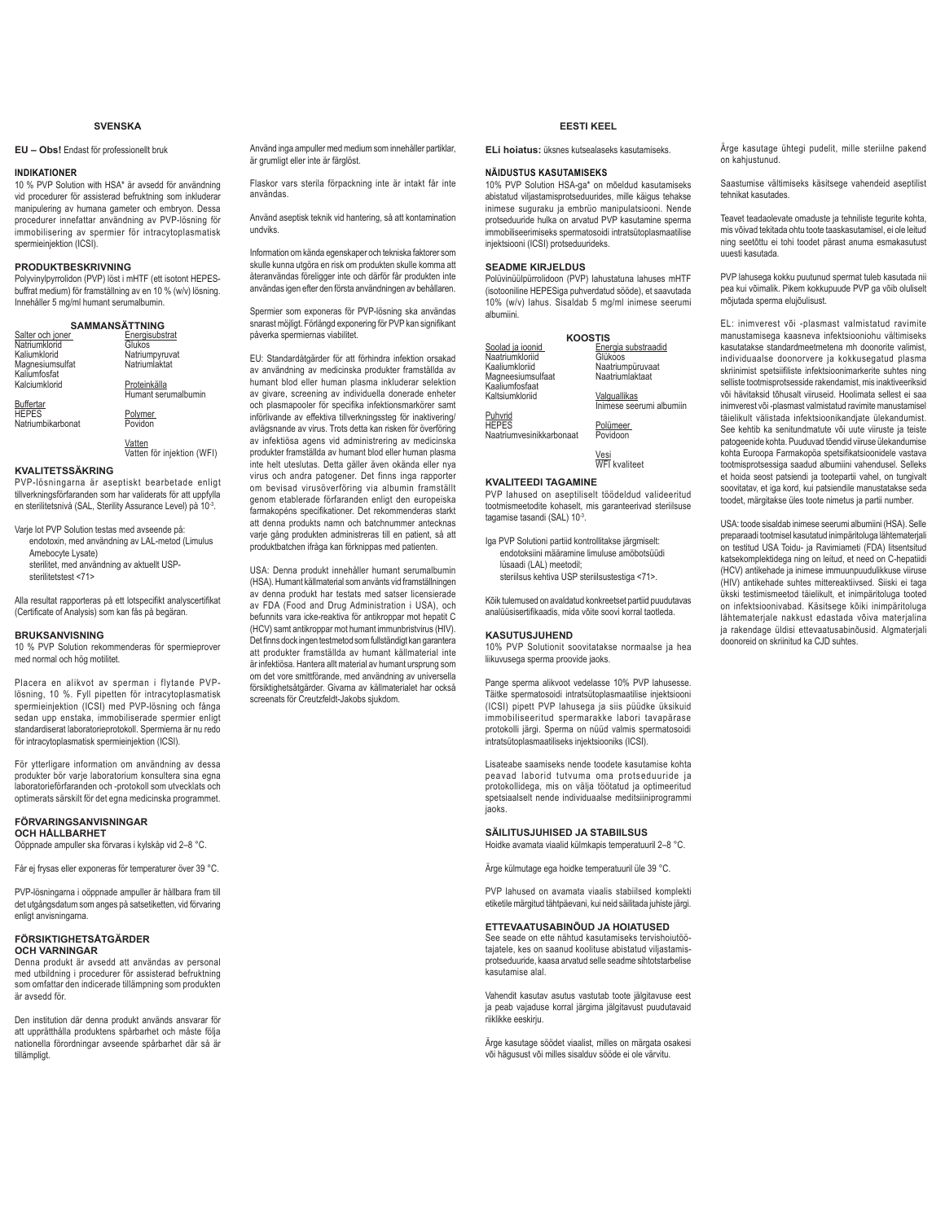# **SVENSKA**

# **EU - Obs!** Endast för professionellt bruk

### **INDIKATIONER**

10 % PVP Solution with HSA\* är avsedd för användning vid procedurer för assisterad befruktning som inkluderar manipulering av humana gameter och embryon. Dessa procedurer innefattar användning av PVP-lösning för immobilisering av spermier för intracytoplasmatisk spermieinjektion (ICSI).

# **PRODUKTBESKRIVNING**

Polyvinylpyrrolidon (PVP) löst i mHTF (ett isotont HEPESbuffrat medium) för framställning av en 10 % (w/v) lösning. Innehåller 5 mg/ml humant serumalbumin.

| <b>SAMMANSÄTTNING</b>            |                     |  |
|----------------------------------|---------------------|--|
| Salter och joner                 | Energisubstrat      |  |
| Natriumklorid                    | Glukos              |  |
| Kaliumklorid                     | Natriumpyruvat      |  |
| Magnesiumsulfat<br>Kaliumfosfat  | Natriumlaktat       |  |
| Kalciumklorid                    | Proteinkälla        |  |
|                                  | Humant serumalbumin |  |
| <b>Buffertar</b><br><b>HEPES</b> | Polymer             |  |
| Natriumbikarbonat                | Povidon             |  |

<u>Vatten</u><br>Vatten för injektion (WFI)

# **KVALITETSSÄKRING**

PVP-lösningarna är aseptiskt bearbetade enligt tillverkningsförfaranden som har validerats för att uppfylla en sterilitetsnivå (SAL, Sterility Assurance Level) på 10<sup>-3</sup>.

Varje lot PVP Solution testas med avseende på: endotoxin, med användning av LAL-metod (Limulus Amebocyte Lysate) sterilitet, med användning av aktuellt USPsterilitetstest <71>

Alla resultat rapporteras på ett lotspecifikt analyscertifikat (Certificate of Analysis) som kan fås på begäran.

# **BRUKSANVISNING**

10 % PVP Solution rekommenderas för spermieprover med normal och hög motilitet.

Placera en alikvot av sperman i flytande PVPlösning, 10 %. Fyll pipetten för intracytoplasmatisk spermieinjektion (ICSI) med PVP-lösning och fånga sedan upp enstaka, immobiliserade spermier enligt standardiserat laboratorieprotokoll. Spermierna är nu redo för intracytoplasmatisk spermieinjektion (ICSI).

För ytterligare information om användning av dessa produkter bör varje laboratorium konsultera sina egna laboratorieförfaranden och -protokoll som utvecklats och optimerats särskilt för det egna medicinska programmet.

## **FÖRVARINGSANVISNINGAR**

**OCH HÅLLBARHET**

Oöppnade ampuller ska förvaras i kylskåp vid 2–8 °C.

Får ej frysas eller exponeras för temperaturer över 39 °C.

PVP-lösningarna i oöppnade ampuller är hållbara fram till det utgångsdatum som anges på satsetiketten, vid förvaring enligt anvisningarna.

### **FÖRSIKTIGHETSÅTGÄRDER OCH VARNINGAR**

Denna produkt är avsedd att användas av personal med utbildning i procedurer för assisterad befruktning som omfattar den indicerade tillämpning som produkten är avsedd för.

Den institution där denna produkt används ansvarar för att upprätthålla produktens spårbarhet och måste följa nationella förordningar avseende spårbarhet där så är tillämpligt.

Använd inga ampuller med medium som innehåller partiklar, är grumligt eller inte är färglöst.

Flaskor vars sterila förpackning inte är intakt får inte användas.

Använd aseptisk teknik vid hantering, så att kontamination undviks.

Information om kända egenskaper och tekniska faktorer som skulle kunna utgöra en risk om produkten skulle komma att återanvändas föreligger inte och därför får produkten inte användas igen efter den första användningen av behållaren.

Spermier som exponeras för PVP-lösning ska användas Sharast möjligt. Förlängd exponering för PVP kan signifikant påverka spermiernas viabilitet.

EU: Standardåtgärder för att förhindra infektion orsakad av användning av medicinska produkter framställda av humant blod eller human plasma inkluderar selektion av givare, screening av individuella donerade enheter och plasmapooler för specifika infektionsmarkörer samt införlivande av effektiva tillverkningssteg för inaktivering/ avlägsnande av virus. Trots detta kan risken för överföring av infektiösa agens vid administrering av medicinska produkter framställda av humant blod eller human plasma inte helt uteslutas. Detta gäller även okända eller nya virus och andra patogener. Det finns inga rapporter om bevisad virusöverföring via albumin framställt genom etablerade förfaranden enligt den europeiska farmakopéns specifikationer. Det rekommenderas starkt att denna produkts namn och batchnummer antecknas varje gång produkten administreras till en patient, så att produktbatchen ifråga kan förknippas med patienten.

USA: Denna produkt innehåller humant serumalbumin (HSA). Humant källmaterial som använts vid framställningen av denna produkt har testats med satser licensierade av FDA (Food and Drug Administration i USA), och befunnits vara icke-reaktiva för antikroppar mot hepatit C (HCV) samt antikroppar mot humant immunbristvirus (HIV). Det finns dock ingen testmetod som fullständigt kan garantera att produkter framställda av humant källmaterial inte är infektiösa. Hantera allt material av humant ursprung som om det vore smittförande, med användning av universella försiktighetsåtgärder. Givarna av källmaterialet har också screenats för Creutzfeldt-Jakobs sjukdom.

# **EESTI KEEL**

**ELi hoiatus:** üksnes kutsealaseks kasutamiseks.

## **NÄIDUSTUS KASUTAMISEKS**

10% PVP Solution HSA-ga\* on mõeldud kasutamiseks abistatud viljastamisprotseduurides, mille käigus tehakse inimese suguraku ja embrüo manipulatsiooni. Nende protseduuride hulka on arvatud PVP kasutamine sperma immobiliseerimiseks spermatosoidi intratsütoplasmaatilise injektsiooni (ICSI) protseduurideks.

# **SEADME KIRJELDUS**

Polüvinüülpürrolidoon (PVP) lahustatuna lahuses mHTF (isotooniline HEPESiga puhverdatud sööde), et saavutada 10% (w/v) lahus. Sisaldab 5 mg/ml inimese seerumi albumiini.

| <b>KOOSTIS</b>                      |                                |  |
|-------------------------------------|--------------------------------|--|
| Soolad ja ioonid<br>Naatriumkloriid | Energia substraadid<br>Glükoos |  |
| Kaaliumkloriid                      | Naatriumpüruvaat               |  |
| Magneesiumsulfaat<br>Kaaliumfosfaat | Naatriumlaktaat                |  |
| Kaltsiumkloriid                     | Valguallikas                   |  |
| Puhvrid                             | Inimese seerumi albumiin       |  |
| <b>HEPES</b>                        | Polümeer                       |  |
| Naatriumvesinikkarbonaat            | Povidoon                       |  |
|                                     | Vesi                           |  |
| <b>WFI</b> kvaliteet                |                                |  |
| KVAI ITFFDI TAGAMINF                |                                |  |

**KVALITEEDI TAGAMINE** PVP lahused on aseptiliselt töödeldud valideeritud tootmismeetodite kohaselt, mis garanteerivad steriilsuse tagamise tasandi (SAL) 10-3.

Iga PVP Solutioni partiid kontrollitakse järgmiselt: endotoksiini määramine limuluse amöbotsüüdi lüsaadi (LAL) meetodil; steriilsus kehtiva USP steriilsustestiga <71>.

Kõik tulemused on avaldatud konkreetset partiid puudutavas analüüsisertifikaadis, mida võite soovi korral taotleda.

# **KASUTUSJUHEND**

10% PVP Solutionit soovitatakse normaalse ja hea liikuvusega sperma proovide jaoks.

Pange sperma alikvoot vedelasse 10% PVP lahusesse. Täitke spermatosoidi intratsütoplasmaatilise injektsiooni (ICSI) pipett PVP lahusega ja siis püüdke üksikuid immobiliseeritud spermarakke labori tavapärase protokolli järgi. Sperma on nüüd valmis spermatosoidi intratsütoplasmaatiliseks injektsiooniks (ICSI).

Lisateabe saamiseks nende toodete kasutamise kohta peavad laborid tutvuma oma protseduuride ja protokollidega, mis on välja töötatud ja optimeeritud spetsiaalselt nende individuaalse meditsiiniprogrammi jaoks.

# **SÄILITUSJUHISED JA STABIILSUS**

Hoidke avamata viaalid külmkapis temperatuuril 2–8 °C.

Ärge külmutage ega hoidke temperatuuril üle 39 °C.

PVP lahused on avamata viaalis stabiilsed komplekti etiketile märgitud tähtpäevani, kui neid säilitada juhiste järgi.

# **ETTEVAATUSABINÕUD JA HOIATUSED**

See seade on ette nähtud kasutamiseks tervishoiutöötajatele, kes on saanud koolituse abistatud viljastamisprotseduuride, kaasa arvatud selle seadme sihtotstarbelise kasutamise alal.

Vahendit kasutav asutus vastutab toote jälgitavuse eest ja peab vajaduse korral järgima jälgitavust puudutavaid riiklikke eeskirju.

Ärge kasutage söödet viaalist, milles on märgata osakesi või hägusust või milles sisalduv sööde ei ole värvitu.

Ärge kasutage ühtegi pudelit, mille steriilne pakend on kahjustunud.

Saastumise vältimiseks käsitsege vahendeid aseptilist tehnikat kasutades.

Teavet teadaolevate omaduste ja tehniliste tegurite kohta, mis võivad tekitada ohtu toote taaskasutamisel, ei ole leitud ning seetõttu ei tohi toodet pärast anuma esmakasutust uuesti kasutada.

PVP lahusega kokku puutunud spermat tuleb kasutada nii pea kui võimalik. Pikem kokkupuude PVP ga võib oluliselt mõjutada sperma elujõulisust.

EL: inimverest või -plasmast valmistatud ravimite manustamisega kaasneva infektsiooniohu vältimiseks kasutatakse standardmeetmetena mh doonorite valimist, individuaalse doonorvere ja kokkusegatud plasma skriinimist spetsiifiliste infektsioonimarkerite suhtes ning selliste tootmisprotsesside rakendamist, mis inaktiveeriksid või hävitaksid tõhusalt viiruseid. Hoolimata sellest ei saa inimverest või -plasmast valmistatud ravimite manustamisel täielikult välistada infektsioonikandjate ülekandumist. See kehtib ka senitundmatute või uute viiruste ja teiste patogeenide kohta. Puuduvad tõendid viiruse ülekandumise kohta Euroopa Farmakopöa spetsifikatsioonidele vastava tootmisprotsessiga saadud albumiini vahendusel. Selleks et hoida seost patsiendi ja tootepartii vahel, on tungivalt soovitatav, et iga kord, kui patsiendile manustatakse seda toodet, märgitakse üles toote nimetus ja partii number.

USA: toode sisaldab inimese seerumi albumiini (HSA). Selle preparaadi tootmisel kasutatud inimpäritoluga lähtematerjali on testitud USA Toidu- ja Ravimiameti (FDA) litsentsitud katsekomplektidega ning on leitud, et need on C-hepatiidi (HCV) antikehade ja inimese immuunpuudulikkuse viiruse (HIV) antikehade suhtes mittereaktiivsed. Siiski ei taga ükski testimismeetod täielikult, et inimpäritoluga tooted on infektsioonivabad. Käsitsege kõiki inimpäritoluga lähtematerjale nakkust edastada võiva materjalina ja rakendage üldisi ettevaatusabinõusid. Algmaterjali doonoreid on skriinitud ka CJD suhtes.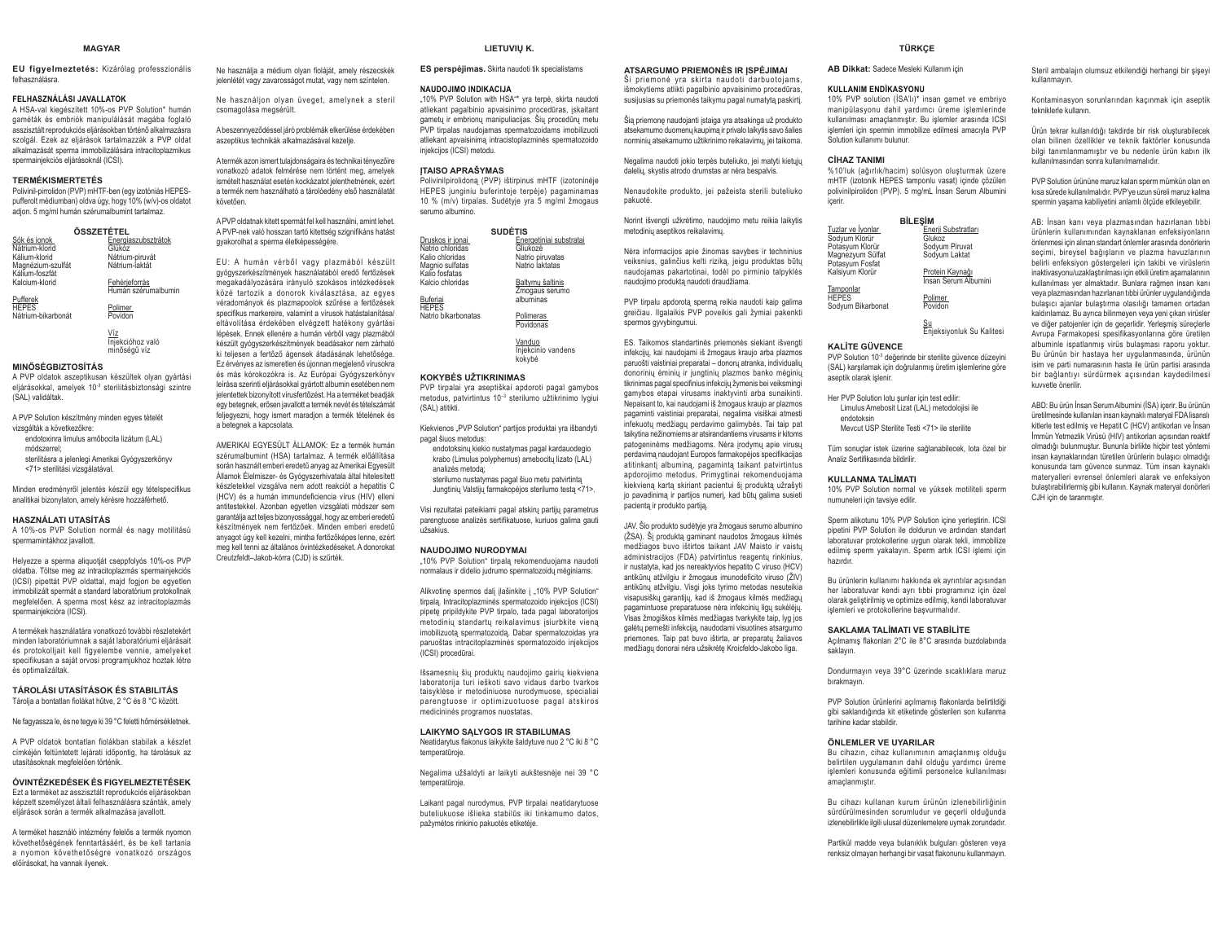### **MAGYAR**

**EU figyelmeztetés:** Kizárólag professzionális felhasználásra.

### **FELHASZNÁLÁSI JAVALLATOK**

 A HSA-val kiegészített 10%-os PVP Solution\* humán gaméták és embriók manipulálását magába foglaló asszisztált reprodukciós eliárásokban történő alkalmazásra szolgál. Ezek az eljárások tartalmazzák a PVP oldat. alkalmazását sperma immobilizálására intracitoplazmikus spermainjekciós eljárásoknál (ICSI).

### **TERMÉKISMERTETÉS**

 Polivinil-pirrolidon (PVP) mHTF-ben (egy izotóniás HEPESpufferolt médiumban) oldva úgy, hogy 10% (w/v)-os oldatot adjon. 5 mg/ml humán szérumalbumint tartalmaz.

| ÖSSZETÉTEL         |                     |  |
|--------------------|---------------------|--|
| Sók és ionok       | Energiaszubsztrátok |  |
| Nátrium-klorid     | Glükőz              |  |
| Kálium-klorid      | Nátrium-piruvát     |  |
| Magnézium-szulfát  | Nátrium-laktát      |  |
| Kálium-foszfát     |                     |  |
| Kalcium-klorid     | Fehérieforrás       |  |
|                    | Humán szérumalbumin |  |
| Pufferek           |                     |  |
| <b>HEPES</b>       | Polimer             |  |
| Nátrium-bikarbonát | Povidon             |  |
|                    |                     |  |
|                    |                     |  |

<u>Víz</u><br>Injekcióhoz való njoholonoz<br>Minőségű víz

## **MINŐSÉGBIZTOSÍTÁS**

 A PVP oldatok aszeptikusan készültek olyan gyártási eljárásokkal, amelyek 10<sup>-3</sup> sterilitásbiztonsági szintre (SAL) validáltak.

A PVP Solution készítmény minden egyes tételét vizsgálták a következőkre: endotoxinra limulus amőbocita lizátum (LAL) módszerrel; sterilitásra a jelenlegi Amerikai Gyógyszerkönyv <71> sterilitási vizsgálatával.

Minden eredményről jelentés készül egy tételspecifikus analitikai bizonylaton, amely kérésre hozzáférhető.

## **HASZNÁLATI UTASÍTÁS**

 A 10%-os PVP Solution normál és nagy motilitású spermamintákhoz javallott.

Helyezze a sperma aliquotját cseppfolyós 10%-os PVP oldatba. Töltse meg az intracitoplazmás spermainjekciós (ICSI) pipettát PVP oldattal, majd fogion be egyetlen immobilizált spermát a standard laboratórium protokollnak megfelelően. A sperma most kész az intracitoplazmás spermainjekcióra (ICSI).

A termékek használatára vonatkozó további részletekért minden laboratóriumnak a saját laboratóriumi eljárásait és protokolljait kell figyelembe vennie, amelyeket specifikusan a saját orvosi programjukhoz hoztak létre és optimalizáltak.

### **TÁROLÁSI UTASÍTÁSOK ÉS STABILITÁS**Tárolja a bontatlan fiolákat hűtve, 2 °C és 8 °C között.

Ne fagyassza le. és ne tegye ki 39 °C feletti hőmérsékletnek.

A PVP oldatok bontatlan fiolákban stabilak a készlet címkéjén feltüntetett lejárati időpontig, ha tárolásuk az utasításoknak megfelelően történik.

### **ÓVINTÉZKEDÉSEK ÉS FIGYELMEZTETÉSEK**

 Ezt a terméket az asszisztált reprodukciós eljárásokban képzett személyzet általi felhasználásra szánták, amely eljárások során a termék alkalmazása javallott.

A terméket használó intézmény felelős a termék nyomon követhetőségének fenntartásáért, és be kell tartania a nyomon követhetőségre vonatkozó országos előírásokat, ha vannak ilyenek.

Ne használia a médium olvan fioláját, amely részecskék jelenlétét vagy zavarosságot mutat, vagy nem színtelen.

Ne használjon olyan üveget, amelynek a steril csomagolása megsérült.

A beszennyeződéssel járó problémák elkerülése érdekében aszeptikus technikák alkalmazásával kezelje.

A termék azon ismert tulajdonságaira és technikai tényezőire vonatkozó adatok felmérése nem történt meg, amelyek ismételt használat esetén kockázatot jelenthetnének, ezért a termék nem használható a tárolóedény első használatát követően

A PVP oldatnak kitett spermát fel kell használni, amint lehet. A PVP-nek való hosszan tartó kitettség szignifikáns hatást gyakorolhat a sperma életképességére.

EU: A humán vérből vagy plazmából készült gyógyszerkészítmények használatából eredő fertőzések megakadályozására irányuló szokásos intézkedések közé tartozik a donorok kiválasztása, az egyes véradományok és plazmapoolok szűrése a fertőzések VEREDIGING, EDE PREDIGING PERSONAL PRODUCTS SOCIETY eltávolítása érdekében elvégzett hatékony gyártási lépések. Ennek ellenére a humán vérből vagy plazmából készült gyógyszerkészítmények beadásakor nem zárható ki teljesen a fertőző ágensek átadásának lehetősége. Ez érvényes az ismeretlen és újonnan megjelenő vírusokra és más kórokozókra is. Az Európai Gyógyszerkönyv leírása szerinti eljárásokkal gyártott albumin esetében nem ielentettek hizonyított vírusfertőzést. Ha a terméket headják egy betegnek, erősen javallott a termék nevét és tételszámát feljegyezni, hogy ismert maradjon a termék tételének és a betegnek a kapcsolata.

AMERIKAI EGYESÜLT ÁLLAMOK: Ez a termék humán szérumalbumint (HSA) tartalmaz. A termék előállítása során használt emberi eredetű anyag az Amerikai Egyesült Államok Élelmiszer- és Gyógyszerhivatala által hitelesített készletekkel vizsgálva nem adott reakciót a hepatitis C (HCV) és a humán immundeficiencia vírus (HIV) elleni antitestekkel. Azonban egyetlen vizsgálati módszer sem garantálja azt teljes bizonyossággal, hogy az emberi eredetű Neven Hertőzőek. Minden emberi eredetű anyagot úgy kell kezelni, mintha fertőzőképes lenne, ezért meg kell tenni az általános óvintézkedéseket. A donorokat Creutzfeldt-Jakob-kórra (CJD) is szűrték.

### **LIFTUVIU K.**

**ES perspėjimas.** Skirta naudoti tik specialistams

### **NAUDOJIMO INDIKACIJA**

"10% PVP Solution with HSA<sup>\*\*</sup> yra terpė, skirta naudoti atliekant pagalbinio apvaisinimo procedūras, įskaitant gametu ir embrionu manipuliacijas. Šiu procedūru metu PVP tirpalas naudojamas spermatozoidams imobilizuoti atliekant anvaisinima intracistonlazminės snermatozoido injekcijos (ICSI) metodu.

# **ITAISO APRAŠYMAS**

Polivinilpirolidona (PVP) ištirpinus mHTF (izotoninėje HEPES junginiu buferintoje terpėje) pagaminamas 10 % (m/v) tirpalas. Sudėtyje yra 5 mg/ml žmogaus serumo albumino.

|                     | <b>SUDĖTIS</b>          |
|---------------------|-------------------------|
| Druskos ir ionai    | Energetiniai substratai |
| Natrio chloridas    | Gliukozė                |
| Kalio chloridas     | Natrio piruvatas        |
| Magnio sulfatas     | Natrio laktatas         |
| Kalio fosfatas      |                         |
| Kalcio chloridas    | Baltymu šaltinis        |
|                     | Žmogaus serumo          |
| Buferiai            | albuminas               |
| <b>HEPES</b>        |                         |
| Natrio bikarbonatas | Polimeras               |
|                     | Povidonas               |
|                     |                         |
|                     | Vanduo                  |
|                     | Iniekcinio vandens      |

kokybė

### **KOKYBĖS UŽTIKRINIMAS**

 PVP tirpalai yra aseptiškai apdoroti pagal gamybos metodus, patvirtintus 10<sup>-3</sup> sterilumo užtikrinimo lygiui (SAL) atitikti.

Kiekvienos "PVP Solution" partijos produktai yra išbandyti pagal šiuos metodus:

endotoksinų kiekio nustatymas pagal kardauodegio krabo (Limulus polyphemus) amebocitu lizato (LAL) analizės metoda:

sterilumo nustatymas nagal šiuo metu patvirtinta Jungtinių Valstijų farmakopėjos sterilumo testą <71>.

Visi rezultatai pateikiami pagal atskirų partijų parametrus parengtuose analizės sertifikatuose. kuriuos galima gauti inžsakius

### **NAUDOJIMO NURODYMAI**

"10% PVP Solution" tirpalą rekomenduojama naudoti mormalaus ir didelio iudrumo spermatozoidu mėginiams.

Alikvotinę spermos dalį įlašinkite į "10% PVP Solution" tirpala. Intracitoplazminės spermatozoido injekcijos (ICSI) pipetę pripildykite PVP tirpalo, tada pagal laboratorijos metodiniu standartu reikalavimus isiurbkite viena imobilizuota spermatozoida. Dabar spermatozoidas yra paruoštas intracitoplazminės spermatozoido iniekcijos (ICSI) procedūrai.

Išsamesnių šių produktų naudojimo gairių kiekviena laboratorija turi ieškoti savo vidaus darbo tvarkos taisyklėse ir metodiniuose nurodymuose snecialiai parengtuose ir optimizuotuose pagal atskiros medicininės programos nuostatas.

## **LAIKYMO SALYGOS IR STABILUMAS**

Neatidarytus flakonus laikykite šaldytuve nuo 2 °C iki 8 °C temperatūroje

Negalima užšaldyti ar laikyti aukštesnėje nei 39 °C temperatūroje.

Laikant pagal nurodymus, PVP tirpalai neatidarytuose buteliukuose išlieka stabilūs iki tinkamumo datos, nažymėtos rinkinio nakuotės etiketėje

**ATSARGUMO PRIEMONĖS IR ISPĖJIMAI** Ši priemonė vra skirta naudoti darbuotojams. Lišmokytiems atlikti nagalbinio anvaisinimo procedūras susijusias su priemonės taikymu pagal numatytą paskirtį. Šią priemonę naudojanti įstaiga yra atsakinga už produkto atsekamumo duomenų kaupima ir privalo laikytis savo šalies norminių atsekamumo užtikrinimo reikalavimų, jei taikoma. Negalima naudoti jokio terpės buteliuko, jei matyti kietųjų daleliu, skystis atrodo drumstas ar nėra bespalvis. Nenaudokite produkto, jei pažeista sterili buteliuko

Norint išvengti užkrėtimo, naudojimo metu reikia laikytis

Nėra informacijos apie žinomas savybes ir techninius veiksnius, galinčius kelti rizika, ieigu produktas būtu naudojamas pakartotinai, todėl po pirminio talpyklės naudojimo produkta naudoti draudžiama

PVP tirpalu apdorotą spermą reikia naudoti kaip galima greičiau. Ilgalaikis PVP poveikis gali žymiai pakenkti

ES. Taikomos standartinės priemonės siekiant išvengti infekcijų, kai naudojami iš žmogaus kraujo arba plazmos paruošti vaistiniai preparatai – donoru atranka, individualiu donorinių ėminių ir jungtinių plazmos banko mėginių tikrinimas pagal specifinius infekcijų žymenis bei veiksmingi gamybos etapai virusams inaktyvinti arba sunaikinti. Nepaisant to, kai naudojami iš žmogaus kraujo ar plazmos pagaminti vaistiniai preparatai, negalima visiškai atmesti infekuotų medžiagų perdavimo galimybės. Tai taip pat taikytina nežinomiems ar atsirandantiems virusams ir kitoms patogeninėms medžiagoms. Nėra irodymu apie virusu perdavima naudojant Europos farmakopėjos specifikacijas atitinkanti albumina, pagaminta taikant patvirtintus apdorojimo metodus. Primygtinai rekomenduojama kiekviena karta skiriant pacientui ši produkta užrašyti io pavadinima ir partijos numeri, kad būtu galima susieti

JAV. Šio produkto sudėtyje yra žmogaus serumo albumino (ŽSA). Ši produkta gaminant naudotos žmogaus kilmės medžianos buvo ištirtos taikant JAV Maisto ir vaistu administracijos (FDA) patvirtintus reagentų rinkinius, ir nustatyta, kad jos nereaktyvios hepatito C viruso (HCV) antikūnu atžvilgiu ir žmogaus imunodeficito viruso (ŽIV) antikūnų atžvilgiu. Visgi joks tyrimo metodas nesuteikia visapusiškų garantijų, kad iš žmogaus kilmės medžiagų pagamintuose preparatuose nėra infekcinių ligų sukėlėjų. .<br>Visas žmogiškos kilmės medžiagas tvarkykite taip, lyg jos galėtų pernešti infekcija, naudodami visuotines atsargumo priemones. Taip pat buvo ištirta, ar preparatu žaliavos medžiagu donorai nėra užsikrėte Kroicfeldo-Jakobo liga.

metodiniu asentikos reikalavimu

spermos avvybingumui

pacientą ir produkto partiją.

ngkuntė

**AB Dikkat:** Sadece Mesleki Kullanım için

### **KULLANIM ENDİKASYONU**

10% PVP solution (İSA'lı)\* insan gamet ve embriyo manipülasyonu dahil yardımcı üreme islemlerinde kullanılması amaclanmıstır. Bu islemler arasında ICSI islemleri icin spermin immobilize edilmesi amacıvla PVP Solution kullanimi bulunur

**TÜRKÇE**

### $C<sup>i</sup>HAYTANIMI$

%10'luk (ağırlık/hacim) solüsyon oluşturmak üzere mHTF (izotonik HEPES tamponlu vasat) içinde çözülen polivinilpirolidon (PVP). 5 mg/mL Insan Serum Albumini içerir.

|                   | <b>BİLESİM</b>                          |
|-------------------|-----------------------------------------|
| Tuzlar ve İyonlar | Enerji Substratları                     |
| Sodyum Klorür     | Glukoz                                  |
| Potasyum Klorür   | Sodyum Piruvat                          |
| Magnezyum Sülfat  | Sodyum Laktat                           |
| Potasyum Fosfat   |                                         |
| Kalsiyum Klorür   | Protein Kaynağı<br>İnsan Serum Albumini |
|                   |                                         |
| Tamponlar         |                                         |
| <b>HEPES</b>      | Polimer                                 |
| Sodyum Bikarbonat | Povidon                                 |
|                   |                                         |

<u>Su</u><br>Enjeksiyonluk Su Kalitesi

# **KALİTE GÜVENCE**

PVP Solution 10<sup>-3</sup> değerinde bir sterilite güvence düzeyini (SAL) karşılamak için doğrulanmış üretim işlemlerine göre aseptik olarak islenir

Her PVP Solution lotu sunlar icin test edilir: Limulus Amebosit Lizat (LAL) metodolojisi ile endotoksinMevcut USP Sterilite Testi <71> ile sterilite

Tüm sonuçlar istek üzerine sağlanabilecek, lota özel bir Analiz Sertifikasında hildirilir

### **KULLANMA TALİMATI**

 10% PVP Solution normal ve yüksek motiliteli sperm numuneleri için tavsiye edilir.

Sperm alikotunu 10% PVP Solution icine verlestirin, ICSI pipetini PVP Solution ile doldurun ve ardından standart laboratuvar protokollerine uygun olarak tekli, immobilize edilmiş sperm yakalayın. Sperm artık ICSI işlemi için hazırdı

Bu ürünlerin kullanımı hakkında ek avrıntılar acısından her laboratuvar kendi avrı tıbbi programınız için özel nlarak gelistirilmiş ve ontimize edilmiş, kendi laboratuvar islemleri ve protokollerine başyurmalıdır

### **6 SAKLAMA TALIMATI VE STABILITE**

Açılmamış flakonları 2°C ile 8°C arasında buzdolabında saklavin

Dondurmavin veva 39°C üzerinde sıcaklıklara maruz bırakmayın.

PVP Solution ürünlerini acılmamıs flakonlarda belirtildiği gibi saklandığında kit etiketinde gösterilen son kullanma tarihine kadar stabildir.

### **ÖNLEMLER VE UYARILAR**

Bu cihazın, cihaz kullanımının amaçlanmış olduğu belirtilen uygulamanın dahil olduğu yardımcı üreme islemleri konusunda eğitimli personelce kullanılması amaclanmistir

Bu cihazı kullanan kurum ürünün izlenebilirliğinin sürdürülmesinden sorumludur ve geçerli olduğunda izlenebilirlikle ilgili ulusal düzenlemelere uymak zorundadır.

Partikül madde veya bulanıklık bulguları gösteren veya renksiz olmayan herhangi bir vasat flakonunu kullanmayın.

Steril ambalajın olumsuz etkilendiği herhangi bir sisevi kullanmavin

Kontaminasyon sorunlarından kaçınmak için aseptik tekniklerle kullanın.

Ürün tekrar kullanıldığı takdirde bir risk oluşturabilecek olan bilinen özellikler ve teknik faktörler konusunda .<br>bilgi tanımlanmamıştır ve bu nedenle ürün kabın ilk kullanılmasından sonra kullanılmamalıdır.

PVP Solution ürününe maruz kalan sperm mümkün olan en kısa sürede kullanılmalıdır. PVP'ye uzun süreli maruz kalma spermin yaşama kabiliyetini anlamlı ölçüde etkileyebilir.

AB: İnsan kanı veya plazmasından hazırlanan tıbbi ürünlerin kullanımından kaynaklanan enfeksiyonların önlenmesi icin alınan standart önlemler arasında donörlerin secimi, birevsel bağısların ve plazma havuzlarının belirli enfeksiyon göstergeleri için takibi ve virüslerin inaktivasyonu/uzaklaştırılması için etkili üretim aşamalarının kullanılması yer almaktadır. Bunlara rağmen insan kanı veya plazmasından hazırlanan tıbbi ürünler uygulandığında bulasıcı ajanlar bulaştırma olasılığı tamamen ortadan kaldırılamaz. Bu ayrıca bilinmeyen veya yeni çıkan virüsler ve diğer patojenler için de geçerlidir. Yerleşmiş süreçlerle Avrupa Farmakopesi spesifikasyonlarına göre üretilen albuminle ispatlanmıs virüs bulasması raporu voktur. Bu ürünün bir hastaya her uygulanmasında, ürünün isim ve parti numarasının hasta ile ürün partisi arasında bir bağlantıyı sürdürmek açısından kaydedilmesi kuvvetle önerilir.

ABD: Bu ürün İnsan Serum Albumini (İSA) içerir. Bu ürünün üretilmesinde kullanılan insan kavnaklı materyal FDA lisanslı kitlerle test edilmis ve Hepatit C (HCV) antikorları ve İnsan İmmün Yetmezlik Virüsü (HIV) antikorları açısından reaktif olmadığı bulunmustur. Bununla birlikte hicbir test vöntemi insan kavnaklarından türetilen ürünlerin bulasıcı olmadığı konusunda tam güvence sunmaz. Tüm insan kavnaklı materyalleri evrensel önlemleri alarak ve enfeksiyon bulastırabilirlermiş gibi kullanın. Kaynak materyal donörleri C. IH icin de taranmistir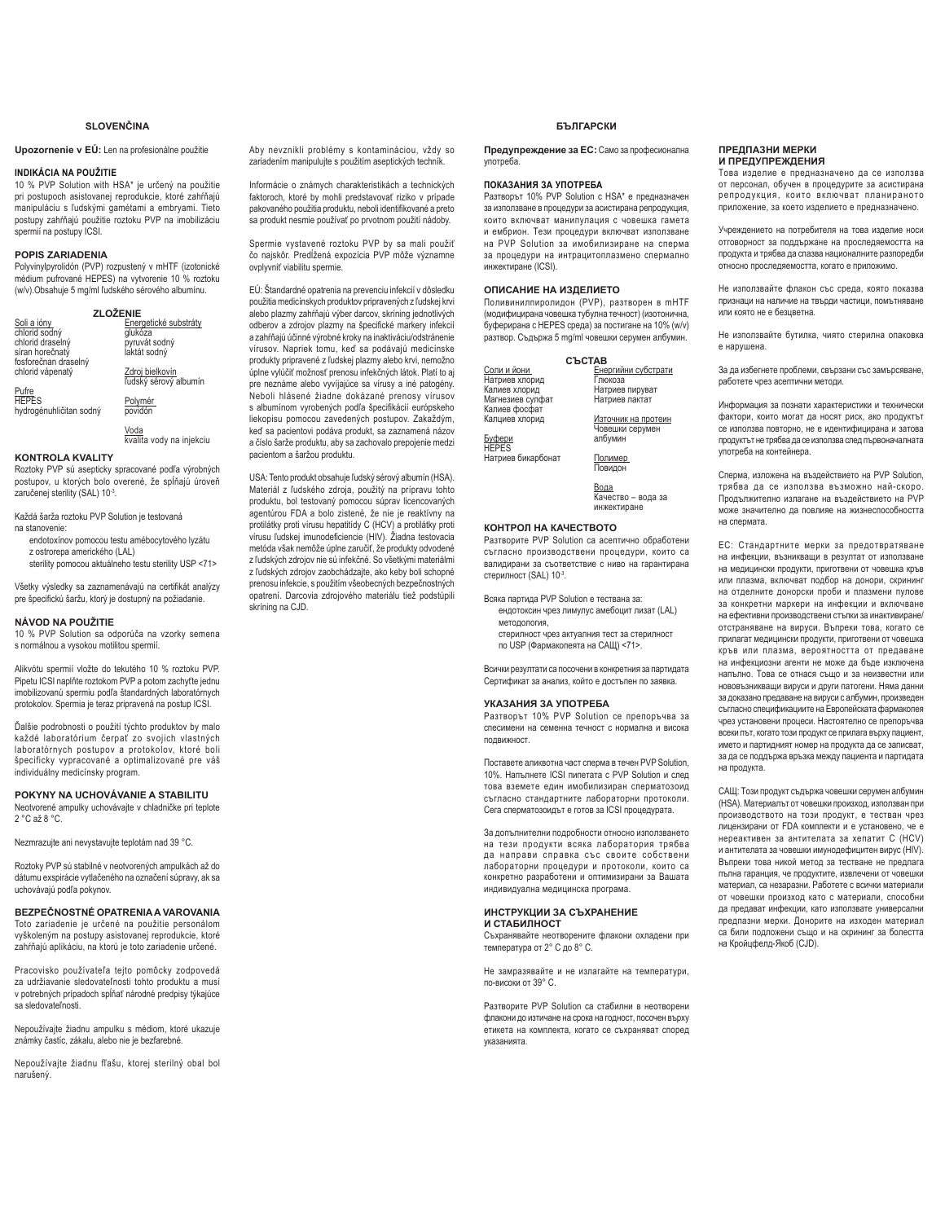# **SLOVENČINA**

# Upozornenie v EÚ: Len na profesionálne použitie

### **INDIKÁCIA NA POUŽITIE**

10 % PVP Solution with HSA\* je určený na použitie pri postupoch asistovanei reprodukcie, ktoré zahŕňajú manipuláciu s ľudskými gamétami a embryami. Tieto postupy zahŕňajú použitie roztoku PVP na imobilizáciu spermií na postupy ICSI.

## **POPIS ZARIADENIA**

Polyvinylpyrolidón (PVP) rozpustený v mHTF (izotonické médium pufrované HEPES) na vytvorenie 10 % roztoku www.particle.com Particle Control Control Control Control Control Control Control Control Control Control Control Control Control Control Control Control Control Control Control Control Control Control Control Control Cont

| <b>ZLOŽENIE</b>         |                       |
|-------------------------|-----------------------|
| Soli a ióny             | Energetické substráty |
| chlorid sodný           | glukóza               |
| chlorid draselný        | pyruvát sodný         |
| síran horečnatý         | laktát sodný          |
| fosforečnan draselný    |                       |
| chlorid vápenatý        | Zdroj bielkovín       |
|                         | ľudský sérový albumín |
| Pufre                   |                       |
| <b>HEPES</b>            | Polymér               |
| hydrogénuhličitan sodný | povidón               |
|                         |                       |

<u>Voda</u><br>kvalita vody na injekciu

# **KONTROLA KVALITY**

Roztoky PVP sú asepticky spracované podľa výrobných postupov, u ktorých bolo overené, že spĺňajú úroveň zaručenej sterility (SAL) 10-3.

Každá šarža roztoku PVP Solution je testovaná na stanovenie:

- endotoxínov pomocou testu amébocytového lyzátu z ostrorepa amerického (LAL)
- sterility pomocou aktuálneho testu sterility USP <71>

Všetky výsledky sa zaznamenávajú na certifikát analýzy pre špecifickú šaržu, ktorý je dostupný na požiadanie.

### **NÁVOD NA POUŽITIE**

10 % PVP Solution sa odporúča na vzorky semena s normálnou a vysokou motilitou spermií.

Alikvótu spermií vložte do tekutého 10 % roztoku PVP. 3. Albert 1944, Dennis Albert 1944, Dennis Albert 1944, Dipetu ICSI naplňte roztokom PVP a potom zachyť te jednu imobilizovanú spermiu podľa štandardných laboratórnych protokolov. Spermia je teraz pripravená na postup ICSI.

Ďalšie podrobnosti o použití týchto produktov bv malo ndåg presenter i premir yene presenter by med laboratórnych postupov a protokolov, ktoré boli špecificky vypracované a optimalizované pre váš individuálny medicínsky program.

# **POKYNY NA UCHOVÁVANIE A STABILITU**

Neotvorené ampulky uchovávajte v chladničke pri teplote 2 °C až 8 °C.

Nezmrazujte ani nevystavujte teplotám nad 39 °C.

Roztoky PVP sú stabilné v neotvorených ampulkách až do dátumu exspirácie vytlačeného na označení súpravy, ak sa uchovávajú podľa pokynov.

# **BEZPEČNOSTNÉ OPATRENIA A VAROVANIA** Toto zariadenie je určené na použitie personálom

vyškoleným na postupy asistovanej reprodukcie, ktoré zahŕňajú aplikáciu, na ktorú je toto zariadenie určené.

Pracovisko používateľa tejto pomôcky zodpovedá za udržiavanie sledovateľnosti tohto produktu a musí v potrebných prípadoch spĺňať národné predpisy týkajúce sa sledovateľnosti.

Nepoužívaite žiadnu ampulku s médiom, ktoré ukazuje známky častíc, zákalu, alebo nie je bezfarebné.

Nepoužívajte žiadnu fľašu, ktorej sterilný obal bol narušený.

Aby nevznikli problémy s kontamináciou, vždy so zariadením manipulujte s použitím aseptických techník.

Informácie o známych charakteristikách a technických faktoroch, ktoré by mohli predstavovať riziko v prípade pakovaného použitia produktu, neboli identifikované a preto sa produkt nesmie používať po prvotnom použití nádoby.

Spermie vystavené roztoku PVP by sa mali použiť čo najskôr. Predĺžená expozícia PVP môže významne ovplyvniť viabilitu spermie.

EÚ: Štandardné opatrenia na prevenciu infekcií v dôsledku použitia medicínskych produktov pripravených z ľudskej krvi alebo plazmy zahŕňajú výber darcov, skríning jednotlivých odberov a zdrojov plazmy na špecifické markery infekcií a zahŕňajú účinné výrobné kroky na inaktiváciu/odstránenie vírusov. Napriek tomu, keď sa podávajú medicínske produkty pripravené z ľudskej plazmy alebo krvi, nemožno úplne vylúčiť možnosť prenosu infekčných látok. Platí to ai pre neznáme alebo vyvíjajúce sa vírusy a iné patogény. Neboli hlásené žiadne dokázané prenosy vírusov s albumínom vyrobených podľa špecifikácií európskeho liekopisu pomocou zavedených postupov. Zakaždým, keď sa pacientovi podáva produkt, sa zaznamená názov a číslo šarže produktu, aby sa zachovalo prepojenie medzi pacientom a šaržou produktu.

USA: Tento produkt obsahuie ľudský sérový albumín (HSA). Materiál z ľudského zdroja, použitý na prípravu tohto produktu, bol testovaný pomocou súprav licencovaných agentúrou FDA a bolo zistené, že nie je reaktívny na protilátky proti vírusu hepatitídy C (HCV) a protilátky proti vírusu ľudskej imunodeficiencie (HIV). Žiadna testovacia metóda však nemôže úplne zaručiť, že produkty odvodené z ľudských zdrojov nie sú infekčné. So všetkými materiálmi z ľudských zdrojov zaobchádzaite, ako keby boli schopné prenosu infekcie, s použitím všeobecných bezpečnostných opatrení. Darcovia zdrojového materiálu tiež podstúpili skríning na CJD.

# **БЪЛГАРСКИ**

Предупреждение за ЕС: Само за професионална употреба.

# ПОКАЗАНИЯ ЗА УПОТРЕБА

Разтворът 10% PVP Solution с HSA\* е предназначен за използване в процедури за асистирана репродукция, които включват манипулация с човешка гамета и ембрион. Тези процедури включват използване на PVP Solution за имобилизиране на сперма за процедури на интрацитоплазмено спермално инжектиране (ICSI).

# ОПИСАНИЕ НА ИЗДЕЛИЕТО

Поливинилпиролидон (PVP), разтворен в mHTF (модифицирана човешка тубулна течност) (изотонична, буферирана с HEPES среда) за постигане на 10% (w/v) разтвор. Съдържа 5 mg/ml човешки серумен албумин

|                    | <b>CLCTAB</b>       |
|--------------------|---------------------|
| Соли и йони        | Енергийни субстрати |
| Натриев хлорид     | Глюкоза             |
| Калиев хлорид      | Натриев пируват     |
| Магнезиев сулфат   | Натриев лактат      |
| Калиев фосфат      |                     |
| Калциев хлорид     | Източник на протеин |
|                    | Човешки серумен     |
| Буфери<br>HEPES    | албумин             |
|                    |                     |
| Натриев бикарбонат | Полимер             |
|                    | Повидон             |
|                    |                     |
|                    | Вода                |
|                    | Качество - вода за  |
|                    | инжектиране         |
|                    |                     |

### КОНТРОЛ НА КАЧЕСТВОТО

Разтворите PVP Solution са асептично обработени съгласно производствени процедури, които са валидирани за съответствие с ниво на гарантирана стерилност (SAL) 10-3.

Всяка партида PVP Solution е тествана за:

- ендотоксин чрез лимулус амебоцит лизат (LAL) методология.
- стерилност чрез актуалния тест за стерилност по USP (Фармакопеята на САЩ) <71>.

Всички резултати са посочени в конкретния за партидата Сертификат за анализ, който е достъпен по заявка.

# УКАЗАНИЯ ЗА УПОТРЕБА

Разтворът 10% PVP Solution се препоръчва за спесимени на семенна течност с нормална и висока **ΠΟΛΒΙΑΚΗΟΩΤ** 

Поставете аликвотна част сперма в течен PVP Solution, 10%. Напълнете ICSI пипетата с PVP Solution и след това вземете един имобилизиран сперматозоид съгласно стандартните лабораторни протоколи. Сега сперматозоидът е готов за ICSI процедурата.

За допълнителни подробности относно използването на тези продукти всяка лаборатория трябва да направи справка със своите собствени лабораторни процедури и протоколи, които са конкретно разработени и оптимизирани за Вашата индивидуална медицинска програма.

## ИНСТРУКЦИИ ЗА СЪХРАНЕНИЕ **И СТАБИЛНОСТ**

Съхранявайте неотворените флакони охладени при температура от 2° С до 8° С.

Не замразявайте и не излагайте на температури. πο-<sub>R</sub>ucoku ot 39° C

Разтворите PVP Solution са стабилни в неотворени флакони до изтичане на срока на годност, посочен върху етикета на комплекта, когато се съхраняват според **VKA3AHMSTA** 

### ПРЕДПАЗНИ МЕРКИ И ПРЕДУПРЕЖДЕНИЯ

Това изделие е предназначено да се използва не изделие в предполнении до то использования от персонал, обучен в процедурите за асистирана репродукция, които включват планираното приложение, за което изделието е предназначено.

Учреждението на потребителя на това изделие носи отговорност за поддържане на проследяемостта на sussepheed as neglephene na necessing necessary and the manufacture of the neglective manufacture cashoped of oτhocho проследяемостта, когато е приложимо

Не използвайте флакон със среда, която показва признаци на наличие на твърди частици, помътняване или която не е безцветна.

Не използвайте бутилка, чиято стерилна опаковка е нарушена

За да избегнете проблеми, свързани със замърсяване, работете чрез асептични методи.

Информация за познати характеристики и технически фактори, които могат да носят риск, ако продуктът се използва повторно, не е идентифицирана и затова продуктът не трябва да се използва след първоначалната употреба на контейнера.

Слерма изпожена на възлействието на PVP Solution трябва да се използва възможно най-скоро. Продължително излагане на въздействието на PVP може значително да повлияе на жизнеспособността на спермата.

ЕС: Стандартните мерки за предотвратяване на инфекции, възникващи в резултат от използване на медицински продукти, приготвени от човешка кръв или плазма, включват подбор на донори, скрининг на отделните донорски проби и плазмени пулове за конкретни маркери на инфекции и включване на ефективни производствени стъпки за инактивиране/ отстраняване на вируси. Въпреки това, когато се прилагат медицински продукти, приготвени от човешка кръв или плазма, вероятността от предаване на инфекциозни агенти не може да бъле изключена напълно. Това се отнася също и за неизвестни или нововъзникващи вируси и други патогени. Няма данни за доказано предаване на вируси с албумин, произведен съгласно спецификациите на Европейската фармакопея чрез установени процеси. Настоятелно се препоръчва всеки път, когато този продукт се прилага върху пациент, името и партидният номер на продукта да се записват, за да се поддържа връзка между пациента и партидата на продукта.

САШ: Този продукт съдържа човешки серумен албумин (HSA). Материалът от човешки произход, използван при производството на този продукт, е тестван чрез лицензирани от FDA комплекти и е установено, че е нереактивен за антителата за хелатит С (HCV) и антителата за човешки имунодефицитен вирус (HIV). Въпреки това никой метод за тестване не предлага пълна гаранция, че продуктите, извлечени от човешки Maxing repending to hpdgymmic, neare term or research от човешки произход като с материали, способни да предават инфекции, като използвате универсални предпазни мерки. Донорите на изходен материал са били подложени също и на скрининг за болестта на Кройцфелд-Якоб (CJD).